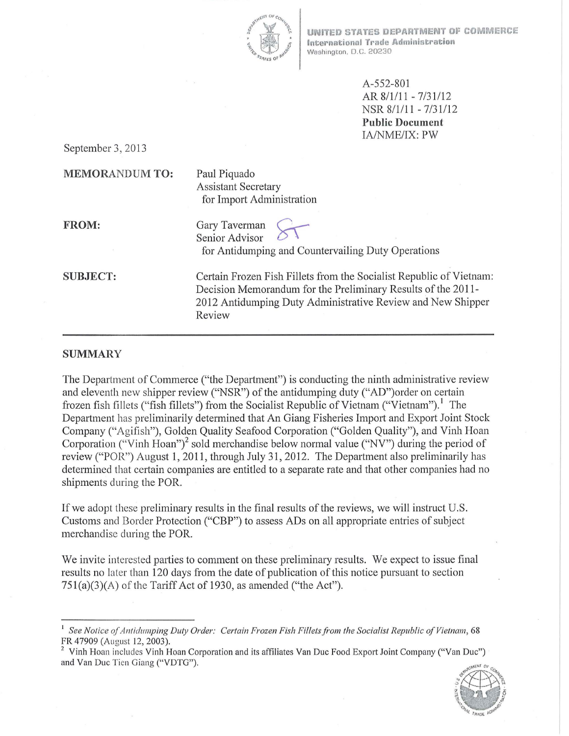

UNIYED STATES DEPARTMENT Of COMMERCE International Trade Administration Washington, D.C. 20230

> A-552-801 AR  $8/1/11 - 7/31/12$ NSR 8/1/11 - 7/31/12 **Public Document**  IA/NME/IX: PW

September 3, 2013

#### **MEMORANDUM TO:**

Paul Piquado Assistant Secretary for Import Administration

**FROM:** 

Gary Taverman Senior Advisor for Antidumping and Countervailing Duty Operations

**SUBJECT:** 

Certain Frozen Fish Fillets from the Socialist Republic of Vietnam: Decision Memorandum for the Preliminary Results of the 20 **11-** 2012 Antidumping Duty Administrative Review and New Shipper Review

#### **SUMMARY**

The Department of Commerce ("the Department") is conducting the ninth administrative review and eleventh new shipper review ("NSR") of the antidumping duty ("AD")order on certain frozen fish fillets ("fish fillets") from the Socialist Republic of Vietnam ("Vietnam").<sup>1</sup> The Department has preliminarily determined that An Giang Fisheries Import and Export Joint Stock Company ("Agifish"), Golden Quality Seafood Corporation ("Golden Quality"), and Vinh Hoan Corporation ("Vinh Hoan")<sup>2</sup> sold merchandise below normal value ("NV") during the period of review ("POR") August **1,** 2011, through July 31, 2012. The Department also preliminarily has determined that certain companies are entitled to a separate rate and that other companies had no shipments during the POR.

If we adopt these preliminary results in the final results of the reviews, we will instruct U.S. Customs and Border Protection ("CBP") to assess ADs on all appropriate entries of subject merchandise during the POR.

We invite interested parties to comment on these preliminary results. We expect to issue final results no later than 120 days from the date of publication of this notice pursuant to section  $751(a)(3)(A)$  of the Tariff Act of 1930, as amended ("the Act").

<sup>&</sup>lt;sup>2</sup> Vinh Hoan includes Vinh Hoan Corporation and its affiliates Van Duc Food Export Joint Company ("Van Duc") and Van Due Tien Giang ("VDTG").



<sup>&</sup>lt;sup>1</sup> See Notice of Antidumping Duty Order: Certain Frozen Fish Fillets from the Socialist Republic of Vietnam, 68<br>FR 47909 (August 12, 2003).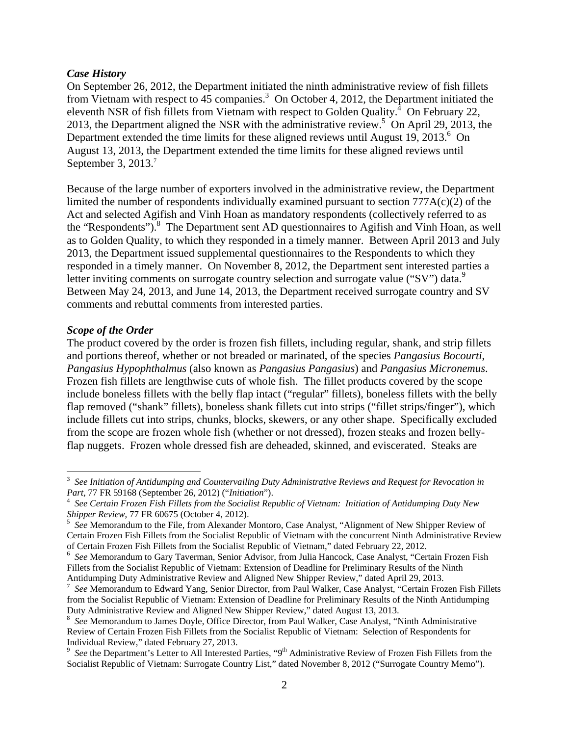### *Case History*

On September 26, 2012, the Department initiated the ninth administrative review of fish fillets from Vietnam with respect to  $4\overline{5}$  companies.<sup>3</sup> On October 4, 2012, the Department initiated the eleventh NSR of fish fillets from Vietnam with respect to Golden Quality. $4$  On February 22, 2013, the Department aligned the NSR with the administrative review.<sup>5</sup> On April 29, 2013, the Department extended the time limits for these aligned reviews until August 19, 2013.<sup>6</sup> On August 13, 2013, the Department extended the time limits for these aligned reviews until September 3, 2013.<sup>7</sup>

Because of the large number of exporters involved in the administrative review, the Department limited the number of respondents individually examined pursuant to section  $777A(c)(2)$  of the Act and selected Agifish and Vinh Hoan as mandatory respondents (collectively referred to as the "Respondents").<sup>8</sup> The Department sent AD questionnaires to Agifish and Vinh Hoan, as well as to Golden Quality, to which they responded in a timely manner. Between April 2013 and July 2013, the Department issued supplemental questionnaires to the Respondents to which they responded in a timely manner. On November 8, 2012, the Department sent interested parties a letter inviting comments on surrogate country selection and surrogate value ("SV") data.<sup>9</sup> Between May 24, 2013, and June 14, 2013, the Department received surrogate country and SV comments and rebuttal comments from interested parties.

#### *Scope of the Order*

The product covered by the order is frozen fish fillets, including regular, shank, and strip fillets and portions thereof, whether or not breaded or marinated, of the species *Pangasius Bocourti*, *Pangasius Hypophthalmus* (also known as *Pangasius Pangasius*) and *Pangasius Micronemus*. Frozen fish fillets are lengthwise cuts of whole fish. The fillet products covered by the scope include boneless fillets with the belly flap intact ("regular" fillets), boneless fillets with the belly flap removed ("shank" fillets), boneless shank fillets cut into strips ("fillet strips/finger"), which include fillets cut into strips, chunks, blocks, skewers, or any other shape. Specifically excluded from the scope are frozen whole fish (whether or not dressed), frozen steaks and frozen bellyflap nuggets. Frozen whole dressed fish are deheaded, skinned, and eviscerated. Steaks are

<sup>3</sup> *See Initiation of Antidumping and Countervailing Duty Administrative Reviews and Request for Revocation in* 

*Part*, 77 FR 59168 (September 26, 2012) ("*Initiation*"). 4 *See Certain Frozen Fish Fillets from the Socialist Republic of Vietnam: Initiation of Antidumping Duty New Shipper Review, 77 FR 60675 (October 4, 2012).* 

<sup>&</sup>lt;sup>5</sup> See Memorandum to the File, from Alexander Montoro, Case Analyst, "Alignment of New Shipper Review of Certain Frozen Fish Fillets from the Socialist Republic of Vietnam with the concurrent Ninth Administrative Review of Certain Frozen Fish Fillets from the Socialist Republic of Vietnam," dated February 22, 2012. 6

*See* Memorandum to Gary Taverman, Senior Advisor, from Julia Hancock, Case Analyst, "Certain Frozen Fish Fillets from the Socialist Republic of Vietnam: Extension of Deadline for Preliminary Results of the Ninth Antidumping Duty Administrative Review and Aligned New Shipper Review," dated April 29, 2013.

<sup>7</sup> *See* Memorandum to Edward Yang, Senior Director, from Paul Walker, Case Analyst, "Certain Frozen Fish Fillets from the Socialist Republic of Vietnam: Extension of Deadline for Preliminary Results of the Ninth Antidumping Duty Administrative Review and Aligned New Shipper Review," dated August 13, 2013.

<sup>&</sup>lt;sup>8</sup> See Memorandum to James Doyle, Office Director, from Paul Walker, Case Analyst, "Ninth Administrative Review of Certain Frozen Fish Fillets from the Socialist Republic of Vietnam: Selection of Respondents for Individual Review," dated February 27, 2013.

<sup>&</sup>lt;sup>9</sup> See the Department's Letter to All Interested Parties, "9<sup>th</sup> Administrative Review of Frozen Fish Fillets from the Socialist Republic of Vietnam: Surrogate Country List," dated November 8, 2012 ("Surrogate Country Memo").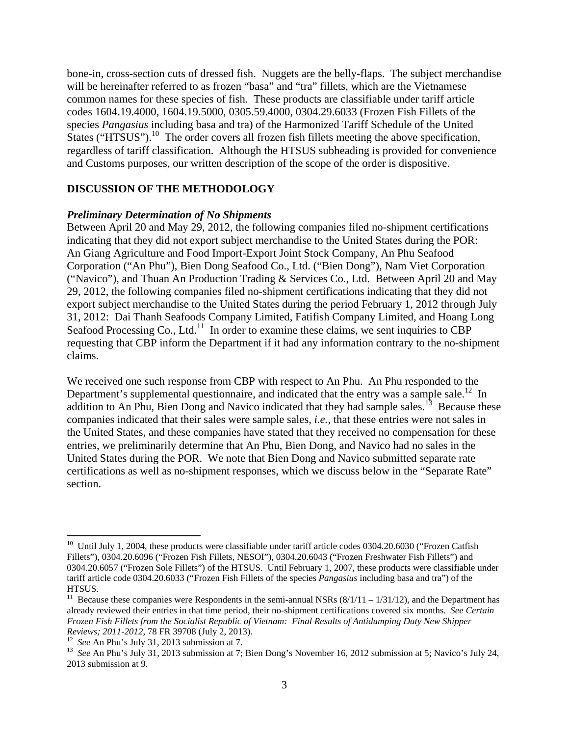bone-in, cross-section cuts of dressed fish. Nuggets are the belly-flaps. The subject merchandise will be hereinafter referred to as frozen "basa" and "tra" fillets, which are the Vietnamese common names for these species of fish. These products are classifiable under tariff article codes 1604.19.4000, 1604.19.5000, 0305.59.4000, 0304.29.6033 (Frozen Fish Fillets of the species *Pangasius* including basa and tra) of the Harmonized Tariff Schedule of the United States ("HTSUS").<sup>10</sup> The order covers all frozen fish fillets meeting the above specification, regardless of tariff classification. Although the HTSUS subheading is provided for convenience and Customs purposes, our written description of the scope of the order is dispositive.

### **DISCUSSION OF THE METHODOLOGY**

#### *Preliminary Determination of No Shipments*

Between April 20 and May 29, 2012, the following companies filed no-shipment certifications indicating that they did not export subject merchandise to the United States during the POR: An Giang Agriculture and Food Import-Export Joint Stock Company, An Phu Seafood Corporation ("An Phu"), Bien Dong Seafood Co., Ltd. ("Bien Dong"), Nam Viet Corporation ("Navico"), and Thuan An Production Trading & Services Co., Ltd. Between April 20 and May 29, 2012, the following companies filed no-shipment certifications indicating that they did not export subject merchandise to the United States during the period February 1, 2012 through July 31, 2012: Dai Thanh Seafoods Company Limited, Fatifish Company Limited, and Hoang Long Seafood Processing Co., Ltd.<sup>11</sup> In order to examine these claims, we sent inquiries to CBP requesting that CBP inform the Department if it had any information contrary to the no-shipment claims.

We received one such response from CBP with respect to An Phu. An Phu responded to the Department's supplemental questionnaire, and indicated that the entry was a sample sale.<sup>12</sup> In addition to An Phu, Bien Dong and Navico indicated that they had sample sales.<sup>13</sup> Because these companies indicated that their sales were sample sales, *i.e.*, that these entries were not sales in the United States, and these companies have stated that they received no compensation for these entries, we preliminarily determine that An Phu, Bien Dong, and Navico had no sales in the United States during the POR. We note that Bien Dong and Navico submitted separate rate certifications as well as no-shipment responses, which we discuss below in the "Separate Rate" section.

<sup>&</sup>lt;sup>10</sup> Until July 1, 2004, these products were classifiable under tariff article codes  $0304.20.6030$  ("Frozen Catfish Fillets"), 0304.20.6096 ("Frozen Fish Fillets, NESOI"), 0304.20.6043 ("Frozen Freshwater Fish Fillets") and 0304.20.6057 ("Frozen Sole Fillets") of the HTSUS. Until February 1, 2007, these products were classifiable under tariff article code 0304.20.6033 ("Frozen Fish Fillets of the species *Pangasius* including basa and tra") of the HTSUS.

<sup>&</sup>lt;sup>11</sup> Because these companies were Respondents in the semi-annual NSRs  $(8/1/11 - 1/31/12)$ , and the Department has already reviewed their entries in that time period, their no-shipment certifications covered six months. *See Certain Frozen Fish Fillets from the Socialist Republic of Vietnam: Final Results of Antidumping Duty New Shipper*  Reviews; 2011-2012, 78 FR 39708 (July 2, 2013).<br><sup>12</sup> See An Phu's July 31, 2013 submission at 7.<br><sup>13</sup> See An Phu's July 31, 2013 submission at 7; Bien Dong's November 16, 2012 submission at 5; Navico's July 24,

<sup>2013</sup> submission at 9.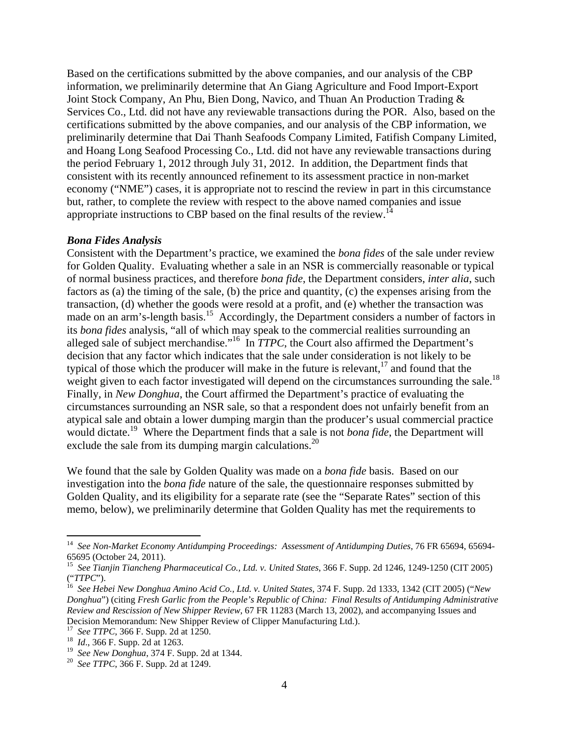Based on the certifications submitted by the above companies, and our analysis of the CBP information, we preliminarily determine that An Giang Agriculture and Food Import-Export Joint Stock Company, An Phu, Bien Dong, Navico, and Thuan An Production Trading & Services Co., Ltd. did not have any reviewable transactions during the POR. Also, based on the certifications submitted by the above companies, and our analysis of the CBP information, we preliminarily determine that Dai Thanh Seafoods Company Limited, Fatifish Company Limited, and Hoang Long Seafood Processing Co., Ltd. did not have any reviewable transactions during the period February 1, 2012 through July 31, 2012. In addition, the Department finds that consistent with its recently announced refinement to its assessment practice in non-market economy ("NME") cases, it is appropriate not to rescind the review in part in this circumstance but, rather, to complete the review with respect to the above named companies and issue appropriate instructions to CBP based on the final results of the review.<sup>14</sup>

#### *Bona Fides Analysis*

Consistent with the Department's practice, we examined the *bona fides* of the sale under review for Golden Quality. Evaluating whether a sale in an NSR is commercially reasonable or typical of normal business practices, and therefore *bona fide*, the Department considers, *inter alia*, such factors as (a) the timing of the sale, (b) the price and quantity, (c) the expenses arising from the transaction, (d) whether the goods were resold at a profit, and (e) whether the transaction was made on an arm's-length basis.<sup>15</sup> Accordingly, the Department considers a number of factors in its *bona fides* analysis, "all of which may speak to the commercial realities surrounding an alleged sale of subject merchandise."16 In *TTPC*, the Court also affirmed the Department's decision that any factor which indicates that the sale under consideration is not likely to be typical of those which the producer will make in the future is relevant, $17$  and found that the weight given to each factor investigated will depend on the circumstances surrounding the sale.<sup>18</sup> Finally, in *New Donghua*, the Court affirmed the Department's practice of evaluating the circumstances surrounding an NSR sale, so that a respondent does not unfairly benefit from an atypical sale and obtain a lower dumping margin than the producer's usual commercial practice would dictate.<sup>19</sup> Where the Department finds that a sale is not *bona fide*, the Department will exclude the sale from its dumping margin calculations.<sup>20</sup>

We found that the sale by Golden Quality was made on a *bona fide* basis. Based on our investigation into the *bona fide* nature of the sale, the questionnaire responses submitted by Golden Quality, and its eligibility for a separate rate (see the "Separate Rates" section of this memo, below), we preliminarily determine that Golden Quality has met the requirements to

<sup>&</sup>lt;sup>14</sup> See Non-Market Economy Antidumping Proceedings: Assessment of Antidumping Duties, 76 FR 65694, 65694-65695 (October 24, 2011).

<sup>15</sup> *See Tianjin Tiancheng Pharmaceutical Co., Ltd. v. United States*, 366 F. Supp. 2d 1246, 1249-1250 (CIT 2005) ("*TTPC*"). 16 *See Hebei New Donghua Amino Acid Co., Ltd. v. United States*, 374 F. Supp. 2d 1333, 1342 (CIT 2005) ("*New* 

*Donghua*") (citing *Fresh Garlic from the People's Republic of China: Final Results of Antidumping Administrative Review and Rescission of New Shipper Review*, 67 FR 11283 (March 13, 2002), and accompanying Issues and Decision Memorandum: New Shipper Review of Clipper Manufacturing Ltd.).

<sup>17</sup>*See TTPC*, 366 F. Supp. 2d at 1250. 18 *Id*., 366 F. Supp. 2d at 1263.

<sup>19</sup>*See New Donghua*, 374 F. Supp. 2d at 1344. 20 *See TTPC*, 366 F. Supp. 2d at 1249.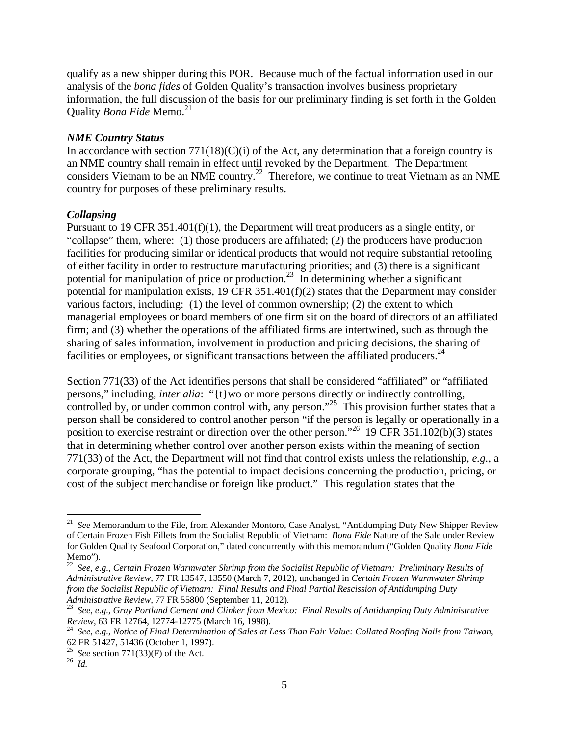qualify as a new shipper during this POR. Because much of the factual information used in our analysis of the *bona fides* of Golden Quality's transaction involves business proprietary information, the full discussion of the basis for our preliminary finding is set forth in the Golden Quality *Bona Fide* Memo.<sup>21</sup>

### *NME Country Status*

In accordance with section  $771(18)(C)(i)$  of the Act, any determination that a foreign country is an NME country shall remain in effect until revoked by the Department. The Department considers Vietnam to be an NME country.<sup>22</sup> Therefore, we continue to treat Vietnam as an NME country for purposes of these preliminary results.

## *Collapsing*

Pursuant to 19 CFR 351.401(f)(1), the Department will treat producers as a single entity, or "collapse" them, where: (1) those producers are affiliated; (2) the producers have production facilities for producing similar or identical products that would not require substantial retooling of either facility in order to restructure manufacturing priorities; and (3) there is a significant potential for manipulation of price or production.<sup>23</sup> In determining whether a significant potential for manipulation exists, 19 CFR 351.401(f)(2) states that the Department may consider various factors, including: (1) the level of common ownership; (2) the extent to which managerial employees or board members of one firm sit on the board of directors of an affiliated firm; and (3) whether the operations of the affiliated firms are intertwined, such as through the sharing of sales information, involvement in production and pricing decisions, the sharing of facilities or employees, or significant transactions between the affiliated producers. $^{24}$ 

Section 771(33) of the Act identifies persons that shall be considered "affiliated" or "affiliated persons," including, *inter alia*: "{t}wo or more persons directly or indirectly controlling, controlled by, or under common control with, any person."<sup>25</sup> This provision further states that a person shall be considered to control another person "if the person is legally or operationally in a position to exercise restraint or direction over the other person."<sup>26</sup> 19 CFR 351.102(b)(3) states that in determining whether control over another person exists within the meaning of section 771(33) of the Act, the Department will not find that control exists unless the relationship, *e.g.*, a corporate grouping, "has the potential to impact decisions concerning the production, pricing, or cost of the subject merchandise or foreign like product." This regulation states that the

<sup>&</sup>lt;sup>21</sup> See Memorandum to the File, from Alexander Montoro, Case Analyst, "Antidumping Duty New Shipper Review of Certain Frozen Fish Fillets from the Socialist Republic of Vietnam: *Bona Fide* Nature of the Sale under Review for Golden Quality Seafood Corporation," dated concurrently with this memorandum ("Golden Quality *Bona Fide* Memo").

<sup>22</sup> *See*, *e.g.*, *Certain Frozen Warmwater Shrimp from the Socialist Republic of Vietnam: Preliminary Results of Administrative Review*, 77 FR 13547, 13550 (March 7, 2012), unchanged in *Certain Frozen Warmwater Shrimp from the Socialist Republic of Vietnam: Final Results and Final Partial Rescission of Antidumping Duty* 

<sup>&</sup>lt;sup>23</sup> See, e.g., *Gray Portland Cement and Clinker from Mexico: Final Results of Antidumping Duty Administrative Review*, 63 FR 12764, 12774-12775 (March 16, 1998). 24 *See*, *e.g.*, *Notice of Final Determination of Sales at Less Than Fair Value: Collated Roofing Nails from Taiwan*,

<sup>62</sup> FR 51427, 51436 (October 1, 1997).

<sup>&</sup>lt;sup>25</sup> *See* section 771(33)(F) of the Act.<br><sup>26</sup> *Id*.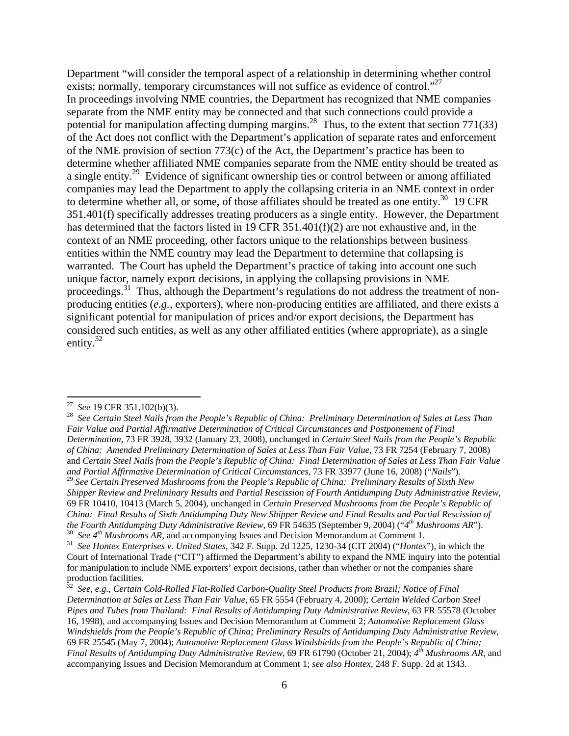Department "will consider the temporal aspect of a relationship in determining whether control exists; normally, temporary circumstances will not suffice as evidence of control."<sup>27</sup> In proceedings involving NME countries, the Department has recognized that NME companies separate from the NME entity may be connected and that such connections could provide a potential for manipulation affecting dumping margins.<sup>28</sup> Thus, to the extent that section 771(33) of the Act does not conflict with the Department's application of separate rates and enforcement of the NME provision of section 773(c) of the Act, the Department's practice has been to determine whether affiliated NME companies separate from the NME entity should be treated as a single entity.<sup>29</sup> Evidence of significant ownership ties or control between or among affiliated companies may lead the Department to apply the collapsing criteria in an NME context in order to determine whether all, or some, of those affiliates should be treated as one entity.<sup>30</sup> 19 CFR 351.401(f) specifically addresses treating producers as a single entity. However, the Department has determined that the factors listed in 19 CFR  $351.401(f)(2)$  are not exhaustive and, in the context of an NME proceeding, other factors unique to the relationships between business entities within the NME country may lead the Department to determine that collapsing is warranted. The Court has upheld the Department's practice of taking into account one such unique factor, namely export decisions, in applying the collapsing provisions in NME proceedings.<sup>31</sup> Thus, although the Department's regulations do not address the treatment of nonproducing entities (*e.g.*, exporters), where non-producing entities are affiliated, and there exists a significant potential for manipulation of prices and/or export decisions, the Department has considered such entities, as well as any other affiliated entities (where appropriate), as a single entity. $32$ 

<sup>29</sup> *See Certain Preserved Mushrooms from the People's Republic of China: Preliminary Results of Sixth New Shipper Review and Preliminary Results and Partial Rescission of Fourth Antidumping Duty Administrative Review*, 69 FR 10410, 10413 (March 5, 2004), unchanged in *Certain Preserved Mushrooms from the People's Republic of China: Final Results of Sixth Antidumping Duty New Shipper Review and Final Results and Partial Rescission of the Fourth Antidumping Duty Administrative Review, 69 FR 54635 (September 9, 2004) ("4" Mushrooms AR").* <sup>30</sup> See 4<sup>th</sup> Mushrooms AR, and accompanying Issues and Decision Memorandum at Comment 1.<br><sup>31</sup> See Hontex Enterprises v. United States, 342 F. Supp. 2d 1225, 1230-34 (CIT 2004) ("Hontex"), in which the

<sup>&</sup>lt;sup>27</sup> See 19 CFR 351.102(b)(3).<br><sup>28</sup> See Certain Steel Nails from the People's Republic of China: Preliminary Determination of Sales at Less Than *Fair Value and Partial Affirmative Determination of Critical Circumstances and Postponement of Final Determination*, 73 FR 3928, 3932 (January 23, 2008), unchanged in *Certain Steel Nails from the People's Republic of China: Amended Preliminary Determination of Sales at Less Than Fair Value*, 73 FR 7254 (February 7, 2008) and *Certain Steel Nails from the People's Republic of China: Final Determination of Sales at Less Than Fair Value and Partial Affirmative Determination of Critical Circumstances*, 73 FR 33977 (June 16, 2008) ("*Nails*").

Court of International Trade ("CIT") affirmed the Department's ability to expand the NME inquiry into the potential for manipulation to include NME exporters' export decisions, rather than whether or not the companies share production facilities.

<sup>32</sup> *See*, *e.g.*, *Certain Cold-Rolled Flat-Rolled Carbon-Quality Steel Products from Brazil; Notice of Final Determination at Sales at Less Than Fair Value*, 65 FR 5554 (February 4, 2000); *Certain Welded Carbon Steel Pipes and Tubes from Thailand: Final Results of Antidumping Duty Administrative Review*, 63 FR 55578 (October 16, 1998), and accompanying Issues and Decision Memorandum at Comment 2; *Automotive Replacement Glass Windshields from the People's Republic of China; Preliminary Results of Antidumping Duty Administrative Review*, 69 FR 25545 (May 7, 2004); *Automotive Replacement Glass Windshields from the People's Republic of China; Final Results of Antidumping Duty Administrative Review*, 69 FR 61790 (October 21, 2004); *4th Mushrooms AR*, and accompanying Issues and Decision Memorandum at Comment 1; *see also Hontex*, 248 F. Supp. 2d at 1343.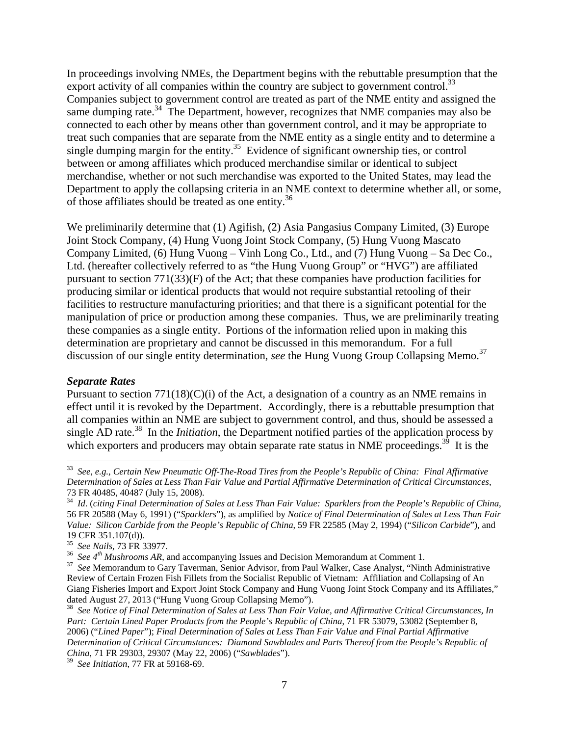In proceedings involving NMEs, the Department begins with the rebuttable presumption that the export activity of all companies within the country are subject to government control.<sup>33</sup> Companies subject to government control are treated as part of the NME entity and assigned the same dumping rate.<sup>34</sup> The Department, however, recognizes that NME companies may also be connected to each other by means other than government control, and it may be appropriate to treat such companies that are separate from the NME entity as a single entity and to determine a single dumping margin for the entity.<sup>35</sup> Evidence of significant ownership ties, or control between or among affiliates which produced merchandise similar or identical to subject merchandise, whether or not such merchandise was exported to the United States, may lead the Department to apply the collapsing criteria in an NME context to determine whether all, or some, of those affiliates should be treated as one entity.36

We preliminarily determine that (1) Agifish, (2) Asia Pangasius Company Limited, (3) Europe Joint Stock Company, (4) Hung Vuong Joint Stock Company, (5) Hung Vuong Mascato Company Limited, (6) Hung Vuong – Vinh Long Co., Ltd., and (7) Hung Vuong – Sa Dec Co., Ltd. (hereafter collectively referred to as "the Hung Vuong Group" or "HVG") are affiliated pursuant to section  $771(33)(F)$  of the Act; that these companies have production facilities for producing similar or identical products that would not require substantial retooling of their facilities to restructure manufacturing priorities; and that there is a significant potential for the manipulation of price or production among these companies. Thus, we are preliminarily treating these companies as a single entity. Portions of the information relied upon in making this determination are proprietary and cannot be discussed in this memorandum. For a full discussion of our single entity determination, *see* the Hung Vuong Group Collapsing Memo.<sup>37</sup>

## *Separate Rates*

Pursuant to section  $771(18)(C)(i)$  of the Act, a designation of a country as an NME remains in effect until it is revoked by the Department. Accordingly, there is a rebuttable presumption that all companies within an NME are subject to government control, and thus, should be assessed a single AD rate.<sup>38</sup> In the *Initiation*, the Department notified parties of the application process by which exporters and producers may obtain separate rate status in NME proceedings.<sup>39</sup> It is the

<sup>33</sup> *See*, *e.g.*, *Certain New Pneumatic Off-The-Road Tires from the People's Republic of China: Final Affirmative Determination of Sales at Less Than Fair Value and Partial Affirmative Determination of Critical Circumstances*, 73 FR 40485, 40487 (July 15, 2008).

<sup>34</sup> *Id*. (*citing Final Determination of Sales at Less Than Fair Value: Sparklers from the People's Republic of China*, 56 FR 20588 (May 6, 1991) ("*Sparklers*"), as amplified by *Notice of Final Determination of Sales at Less Than Fair Value: Silicon Carbide from the People's Republic of China*, 59 FR 22585 (May 2, 1994) ("*Silicon Carbide*"), and 19 CFR 351.107(d)).<br><sup>35</sup> See Nails, 73 FR 33977.

<sup>&</sup>lt;sup>36</sup> See  $4^{th}$  Mushrooms AR, and accompanying Issues and Decision Memorandum at Comment 1.<br><sup>37</sup> See Memorandum to Gary Taverman, Senior Advisor, from Paul Walker, Case Analyst, "Ninth Administrative Review of Certain Frozen Fish Fillets from the Socialist Republic of Vietnam: Affiliation and Collapsing of An Giang Fisheries Import and Export Joint Stock Company and Hung Vuong Joint Stock Company and its Affiliates," dated August 27, 2013 ("Hung Vuong Group Collapsing Memo").

<sup>38</sup> *See Notice of Final Determination of Sales at Less Than Fair Value, and Affirmative Critical Circumstances, In Part: Certain Lined Paper Products from the People's Republic of China*, 71 FR 53079, 53082 (September 8, 2006) ("*Lined Paper*"); *Final Determination of Sales at Less Than Fair Value and Final Partial Affirmative Determination of Critical Circumstances: Diamond Sawblades and Parts Thereof from the People's Republic of China*, 71 FR 29303, 29307 (May 22, 2006) ("*Sawblades*").

<sup>39</sup> *See Initiation*, 77 FR at 59168-69.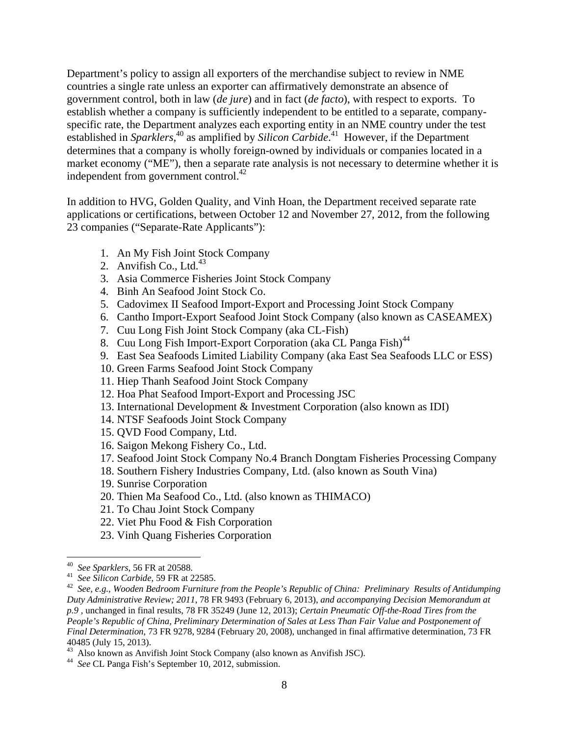Department's policy to assign all exporters of the merchandise subject to review in NME countries a single rate unless an exporter can affirmatively demonstrate an absence of government control, both in law (*de jure*) and in fact (*de facto*), with respect to exports. To establish whether a company is sufficiently independent to be entitled to a separate, companyspecific rate, the Department analyzes each exporting entity in an NME country under the test established in *Sparklers*<sup>40</sup> as amplified by *Silicon Carbide*<sup>41</sup> However, if the Department determines that a company is wholly foreign-owned by individuals or companies located in a market economy ("ME"), then a separate rate analysis is not necessary to determine whether it is independent from government control. $^{42}$ 

In addition to HVG, Golden Quality, and Vinh Hoan, the Department received separate rate applications or certifications, between October 12 and November 27, 2012, from the following 23 companies ("Separate-Rate Applicants"):

- 1. An My Fish Joint Stock Company
- 2. Anvifish Co., Ltd. $^{43}$
- 3. Asia Commerce Fisheries Joint Stock Company
- 4. Binh An Seafood Joint Stock Co.
- 5. Cadovimex II Seafood Import-Export and Processing Joint Stock Company
- 6. Cantho Import-Export Seafood Joint Stock Company (also known as CASEAMEX)
- 7. Cuu Long Fish Joint Stock Company (aka CL-Fish)
- 8. Cuu Long Fish Import-Export Corporation (aka CL Panga Fish)<sup>44</sup>
- 9. East Sea Seafoods Limited Liability Company (aka East Sea Seafoods LLC or ESS)
- 10. Green Farms Seafood Joint Stock Company
- 11. Hiep Thanh Seafood Joint Stock Company
- 12. Hoa Phat Seafood Import-Export and Processing JSC
- 13. International Development & Investment Corporation (also known as IDI)
- 14. NTSF Seafoods Joint Stock Company
- 15. QVD Food Company, Ltd.
- 16. Saigon Mekong Fishery Co., Ltd.
- 17. Seafood Joint Stock Company No.4 Branch Dongtam Fisheries Processing Company
- 18. Southern Fishery Industries Company, Ltd. (also known as South Vina)
- 19. Sunrise Corporation
- 20. Thien Ma Seafood Co., Ltd. (also known as THIMACO)
- 21. To Chau Joint Stock Company
- 22. Viet Phu Food & Fish Corporation
- 23. Vinh Quang Fisheries Corporation

<sup>40</sup>*See Sparklers*, 56 FR at 20588. 41 *See Silicon Carbide*, 59 FR at 22585. 42 *See*, *e.g.*, *Wooden Bedroom Furniture from the People's Republic of China: Preliminary Results of Antidumping Duty Administrative Review; 2011*, 78 FR 9493 (February 6, 2013), *and accompanying Decision Memorandum at p.9 ,* unchanged in final results, 78 FR 35249 (June 12, 2013); *Certain Pneumatic Off-the-Road Tires from the People's Republic of China, Preliminary Determination of Sales at Less Than Fair Value and Postponement of Final Determination*, 73 FR 9278, 9284 (February 20, 2008), unchanged in final affirmative determination, 73 FR 40485 (July 15, 2013).

<sup>43</sup> Also known as Anvifish Joint Stock Company (also known as Anvifish JSC).

<sup>44</sup> *See* CL Panga Fish's September 10, 2012, submission.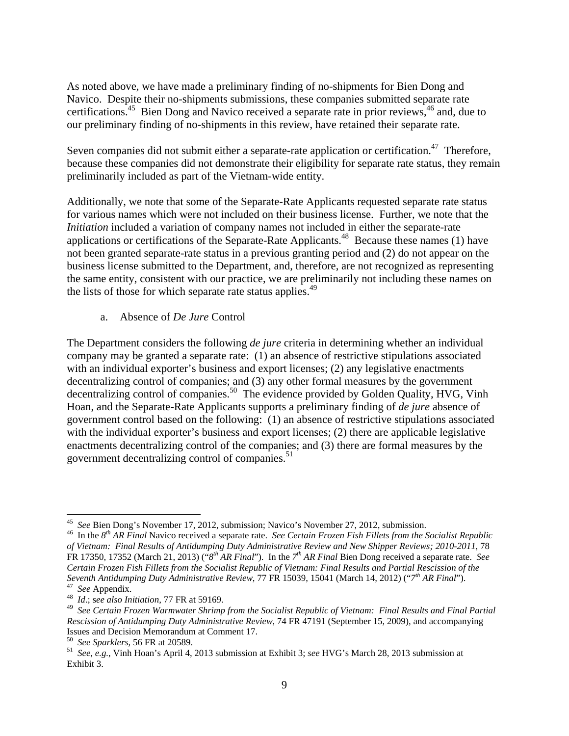As noted above, we have made a preliminary finding of no-shipments for Bien Dong and Navico. Despite their no-shipments submissions, these companies submitted separate rate certifications.<sup>45</sup> Bien Dong and Navico received a separate rate in prior reviews,<sup>46</sup> and, due to our preliminary finding of no-shipments in this review, have retained their separate rate.

Seven companies did not submit either a separate-rate application or certification.<sup>47</sup> Therefore, because these companies did not demonstrate their eligibility for separate rate status, they remain preliminarily included as part of the Vietnam-wide entity.

Additionally, we note that some of the Separate-Rate Applicants requested separate rate status for various names which were not included on their business license. Further, we note that the *Initiation* included a variation of company names not included in either the separate-rate applications or certifications of the Separate-Rate Applicants.<sup>48</sup> Because these names (1) have not been granted separate-rate status in a previous granting period and (2) do not appear on the business license submitted to the Department, and, therefore, are not recognized as representing the same entity, consistent with our practice, we are preliminarily not including these names on the lists of those for which separate rate status applies.<sup>49</sup>

## a. Absence of *De Jure* Control

The Department considers the following *de jure* criteria in determining whether an individual company may be granted a separate rate: (1) an absence of restrictive stipulations associated with an individual exporter's business and export licenses; (2) any legislative enactments decentralizing control of companies; and (3) any other formal measures by the government decentralizing control of companies.<sup>50</sup> The evidence provided by Golden Quality, HVG, Vinh Hoan, and the Separate-Rate Applicants supports a preliminary finding of *de jure* absence of government control based on the following: (1) an absence of restrictive stipulations associated with the individual exporter's business and export licenses; (2) there are applicable legislative enactments decentralizing control of the companies; and (3) there are formal measures by the government decentralizing control of companies.<sup>51</sup>

<sup>&</sup>lt;sup>45</sup> See Bien Dong's November 17, 2012, submission; Navico's November 27, 2012, submission.

<sup>&</sup>lt;sup>46</sup> In the  $8<sup>th</sup> AR Final$  Navico received a separate rate. See Certain Frozen Fish Fillets from the Socialist Republic *of Vietnam: Final Results of Antidumping Duty Administrative Review and New Shipper Reviews; 2010-2011*, 78 FR 17350, 17352 (March 21, 2013) ("*8th AR Final*"). In the *7th AR Final* Bien Dong received a separate rate. *See Certain Frozen Fish Fillets from the Socialist Republic of Vietnam: Final Results and Partial Rescission of the Seventh Antidumping Duty Administrative Review*, 77 FR 15039, 15041 (March 14, 2012) ("*7th AR Final*"). 47 *See* Appendix. 48 *Id*.; s*ee also Initiation*, 77 FR at 59169.

<sup>49</sup> *See Certain Frozen Warmwater Shrimp from the Socialist Republic of Vietnam: Final Results and Final Partial Rescission of Antidumping Duty Administrative Review*, 74 FR 47191 (September 15, 2009), and accompanying Issues and Decision Memorandum at Comment 17.<br><sup>50</sup> See Sparklers, 56 FR at 20589.

<sup>&</sup>lt;sup>51</sup> See, e.g., Vinh Hoan's April 4, 2013 submission at Exhibit 3; see HVG's March 28, 2013 submission at Exhibit 3.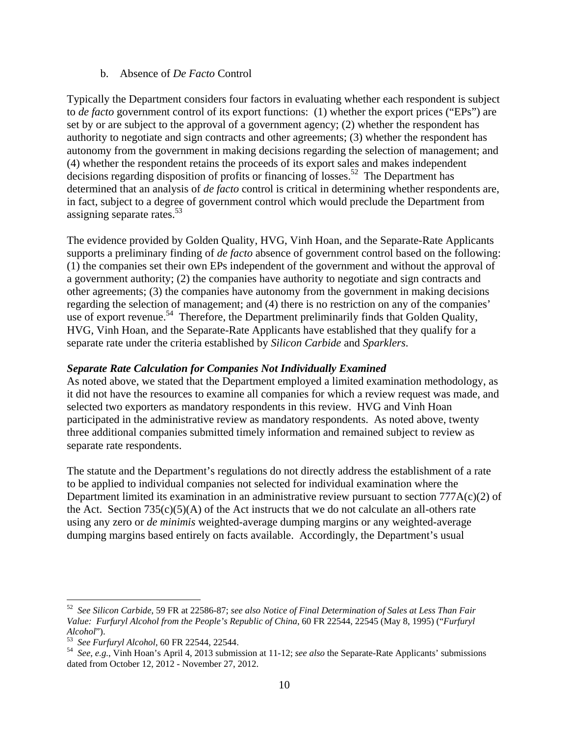## b. Absence of *De Facto* Control

Typically the Department considers four factors in evaluating whether each respondent is subject to *de facto* government control of its export functions: (1) whether the export prices ("EPs") are set by or are subject to the approval of a government agency; (2) whether the respondent has authority to negotiate and sign contracts and other agreements; (3) whether the respondent has autonomy from the government in making decisions regarding the selection of management; and (4) whether the respondent retains the proceeds of its export sales and makes independent decisions regarding disposition of profits or financing of losses.<sup>52</sup> The Department has determined that an analysis of *de facto* control is critical in determining whether respondents are, in fact, subject to a degree of government control which would preclude the Department from assigning separate rates.<sup>53</sup>

The evidence provided by Golden Quality, HVG, Vinh Hoan, and the Separate-Rate Applicants supports a preliminary finding of *de facto* absence of government control based on the following: (1) the companies set their own EPs independent of the government and without the approval of a government authority; (2) the companies have authority to negotiate and sign contracts and other agreements; (3) the companies have autonomy from the government in making decisions regarding the selection of management; and (4) there is no restriction on any of the companies' use of export revenue.<sup>54</sup> Therefore, the Department preliminarily finds that Golden Quality, HVG, Vinh Hoan, and the Separate-Rate Applicants have established that they qualify for a separate rate under the criteria established by *Silicon Carbide* and *Sparklers*.

# *Separate Rate Calculation for Companies Not Individually Examined*

As noted above, we stated that the Department employed a limited examination methodology, as it did not have the resources to examine all companies for which a review request was made, and selected two exporters as mandatory respondents in this review. HVG and Vinh Hoan participated in the administrative review as mandatory respondents. As noted above, twenty three additional companies submitted timely information and remained subject to review as separate rate respondents.

The statute and the Department's regulations do not directly address the establishment of a rate to be applied to individual companies not selected for individual examination where the Department limited its examination in an administrative review pursuant to section 777A(c)(2) of the Act. Section  $735(c)(5)(A)$  of the Act instructs that we do not calculate an all-others rate using any zero or *de minimis* weighted-average dumping margins or any weighted-average dumping margins based entirely on facts available. Accordingly, the Department's usual

<sup>52</sup> *See Silicon Carbide*, 59 FR at 22586-87; *see also Notice of Final Determination of Sales at Less Than Fair Value: Furfuryl Alcohol from the People's Republic of China*, 60 FR 22544, 22545 (May 8, 1995) ("*Furfuryl Alcohol*").<br>*Alcohol*").<br><sup>53</sup> See Furfuryl Alcohol, 60 FR 22544, 22544.

<sup>&</sup>lt;sup>54</sup> *See, e.g.*, Vinh Hoan's April 4, 2013 submission at 11-12; *see also* the Separate-Rate Applicants' submissions dated from October 12, 2012 - November 27, 2012.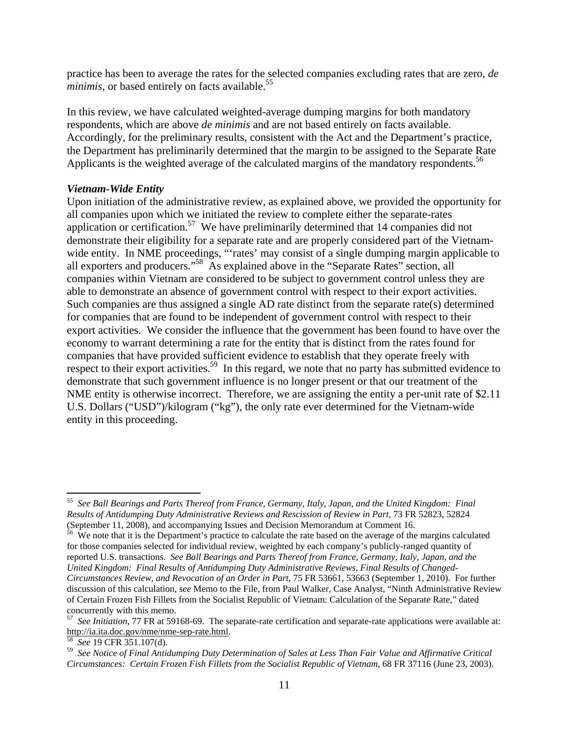practice has been to average the rates for the selected companies excluding rates that are zero, *de minimis, or based entirely on facts available.*<sup>55</sup>

In this review, we have calculated weighted-average dumping margins for both mandatory respondents, which are above *de minimis* and are not based entirely on facts available. Accordingly, for the preliminary results, consistent with the Act and the Department's practice, the Department has preliminarily determined that the margin to be assigned to the Separate Rate Applicants is the weighted average of the calculated margins of the mandatory respondents.<sup>56</sup>

#### *Vietnam-Wide Entity*

Upon initiation of the administrative review, as explained above, we provided the opportunity for all companies upon which we initiated the review to complete either the separate-rates application or certification.57 We have preliminarily determined that 14 companies did not demonstrate their eligibility for a separate rate and are properly considered part of the Vietnamwide entity. In NME proceedings, "rates' may consist of a single dumping margin applicable to all exporters and producers."58 As explained above in the "Separate Rates" section, all companies within Vietnam are considered to be subject to government control unless they are able to demonstrate an absence of government control with respect to their export activities. Such companies are thus assigned a single AD rate distinct from the separate rate(s) determined for companies that are found to be independent of government control with respect to their export activities. We consider the influence that the government has been found to have over the economy to warrant determining a rate for the entity that is distinct from the rates found for companies that have provided sufficient evidence to establish that they operate freely with respect to their export activities.<sup>59</sup> In this regard, we note that no party has submitted evidence to demonstrate that such government influence is no longer present or that our treatment of the NME entity is otherwise incorrect. Therefore, we are assigning the entity a per-unit rate of \$2.11 U.S. Dollars ("USD")/kilogram ("kg"), the only rate ever determined for the Vietnam-wide entity in this proceeding.

<sup>55</sup> *See Ball Bearings and Parts Thereof from France, Germany, Italy, Japan, and the United Kingdom: Final Results of Antidumping Duty Administrative Reviews and Rescission of Review in Part,* 73 FR 52823, 52824 (September 11, 2008), and accompanying Issues and Decision Memorandum at Comment 16.

<sup>&</sup>lt;sup>56</sup> We note that it is the Department's practice to calculate the rate based on the average of the margins calculated for those companies selected for individual review, weighted by each company's publicly-ranged quantity of reported U.S. transactions. *See Ball Bearings and Parts Thereof from France, Germany, Italy, Japan, and the United Kingdom: Final Results of Antidumping Duty Administrative Reviews, Final Results of Changed-Circumstances Review, and Revocation of an Order in Part*, 75 FR 53661, 53663 (September 1, 2010). For further discussion of this calculation, s*ee* Memo to the File, from Paul Walker, Case Analyst, "Ninth Administrative Review of Certain Frozen Fish Fillets from the Socialist Republic of Vietnam: Calculation of the Separate Rate," dated concurrently with this memo.

<sup>57</sup> *See Initiation*, 77 FR at 59168-69. The separate-rate certification and separate-rate applications were available at: http://ia.ita.doc.gov/nme/nme-sep-rate.html.

<sup>58</sup> *See* 19 CFR 351.107(d).

<sup>59</sup> *See Notice of Final Antidumping Duty Determination of Sales at Less Than Fair Value and Affirmative Critical Circumstances: Certain Frozen Fish Fillets from the Socialist Republic of Vietnam*, 68 FR 37116 (June 23, 2003).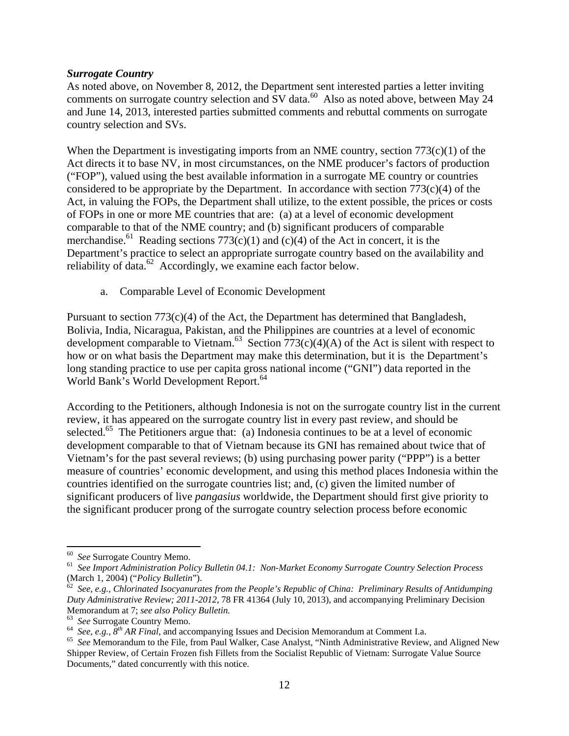## *Surrogate Country*

As noted above, on November 8, 2012, the Department sent interested parties a letter inviting comments on surrogate country selection and SV data.<sup>60</sup> Also as noted above, between May 24 and June 14, 2013, interested parties submitted comments and rebuttal comments on surrogate country selection and SVs.

When the Department is investigating imports from an NME country, section  $773(c)(1)$  of the Act directs it to base NV, in most circumstances, on the NME producer's factors of production ("FOP"), valued using the best available information in a surrogate ME country or countries considered to be appropriate by the Department. In accordance with section  $773(c)(4)$  of the Act, in valuing the FOPs, the Department shall utilize, to the extent possible, the prices or costs of FOPs in one or more ME countries that are: (a) at a level of economic development comparable to that of the NME country; and (b) significant producers of comparable merchandise.<sup>61</sup> Reading sections 773(c)(1) and (c)(4) of the Act in concert, it is the Department's practice to select an appropriate surrogate country based on the availability and reliability of data.<sup>62</sup> Accordingly, we examine each factor below.

a. Comparable Level of Economic Development

Pursuant to section 773(c)(4) of the Act, the Department has determined that Bangladesh, Bolivia, India, Nicaragua, Pakistan, and the Philippines are countries at a level of economic development comparable to Vietnam.<sup>63</sup> Section  $\overline{773}(c)(4)(A)$  of the Act is silent with respect to how or on what basis the Department may make this determination, but it is the Department's long standing practice to use per capita gross national income ("GNI") data reported in the World Bank's World Development Report.<sup>64</sup>

According to the Petitioners, although Indonesia is not on the surrogate country list in the current review, it has appeared on the surrogate country list in every past review, and should be selected.<sup>65</sup> The Petitioners argue that: (a) Indonesia continues to be at a level of economic development comparable to that of Vietnam because its GNI has remained about twice that of Vietnam's for the past several reviews; (b) using purchasing power parity ("PPP") is a better measure of countries' economic development, and using this method places Indonesia within the countries identified on the surrogate countries list; and, (c) given the limited number of significant producers of live *pangasius* worldwide, the Department should first give priority to the significant producer prong of the surrogate country selection process before economic

<sup>&</sup>lt;sup>60</sup> *See* Surrogate Country Memo.<br><sup>61</sup> *See Import Administration Policy Bulletin 04.1: Non-Market Economy Surrogate Country Selection Process* (March 1, 2004) ("*Policy Bulletin*").

<sup>&</sup>lt;sup>62</sup> See, e.g., *Chlorinated Isocyanurates from the People's Republic of China: Preliminary Results of Antidumping Duty Administrative Review; 2011-2012*, 78 FR 41364 (July 10, 2013)*,* and accompanying Preliminary Decision

Memorandum at 7; see also Policy Bulletin.<br>
<sup>63</sup> See Surrogate Country Memo.<br>
<sup>64</sup> See, e.g.,  $8^{th}$  AR Final, and accompanying Issues and Decision Memorandum at Comment I.a.<br>
<sup>65</sup> See Memorandum to the File, from Paul Wa Shipper Review, of Certain Frozen fish Fillets from the Socialist Republic of Vietnam: Surrogate Value Source Documents," dated concurrently with this notice.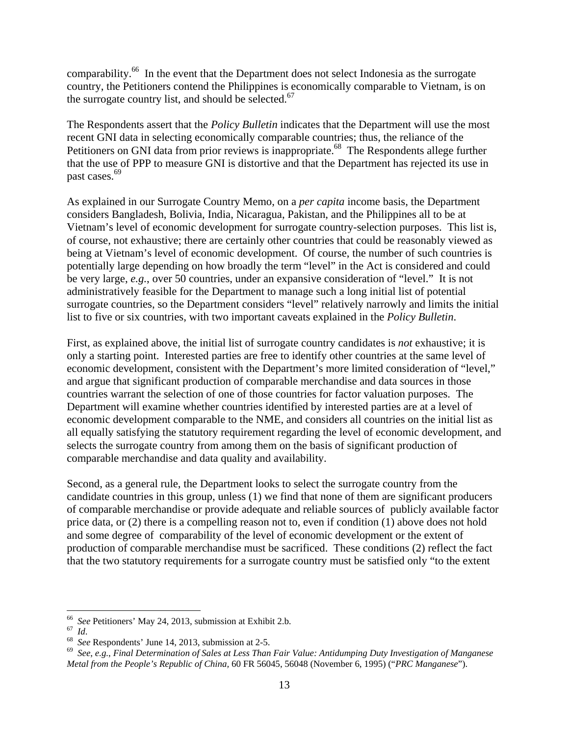comparability.<sup>66</sup> In the event that the Department does not select Indonesia as the surrogate country, the Petitioners contend the Philippines is economically comparable to Vietnam, is on the surrogate country list, and should be selected.<sup>67</sup>

The Respondents assert that the *Policy Bulletin* indicates that the Department will use the most recent GNI data in selecting economically comparable countries; thus, the reliance of the Petitioners on GNI data from prior reviews is inappropriate.<sup>68</sup> The Respondents allege further that the use of PPP to measure GNI is distortive and that the Department has rejected its use in past cases.<sup>69</sup>

As explained in our Surrogate Country Memo, on a *per capita* income basis, the Department considers Bangladesh, Bolivia, India, Nicaragua, Pakistan, and the Philippines all to be at Vietnam's level of economic development for surrogate country-selection purposes. This list is, of course, not exhaustive; there are certainly other countries that could be reasonably viewed as being at Vietnam's level of economic development. Of course, the number of such countries is potentially large depending on how broadly the term "level" in the Act is considered and could be very large, *e.g.*, over 50 countries, under an expansive consideration of "level." It is not administratively feasible for the Department to manage such a long initial list of potential surrogate countries, so the Department considers "level" relatively narrowly and limits the initial list to five or six countries, with two important caveats explained in the *Policy Bulletin*.

First, as explained above, the initial list of surrogate country candidates is *not* exhaustive; it is only a starting point. Interested parties are free to identify other countries at the same level of economic development, consistent with the Department's more limited consideration of "level," and argue that significant production of comparable merchandise and data sources in those countries warrant the selection of one of those countries for factor valuation purposes. The Department will examine whether countries identified by interested parties are at a level of economic development comparable to the NME, and considers all countries on the initial list as all equally satisfying the statutory requirement regarding the level of economic development, and selects the surrogate country from among them on the basis of significant production of comparable merchandise and data quality and availability.

Second, as a general rule, the Department looks to select the surrogate country from the candidate countries in this group, unless (1) we find that none of them are significant producers of comparable merchandise or provide adequate and reliable sources of publicly available factor price data, or (2) there is a compelling reason not to, even if condition (1) above does not hold and some degree of comparability of the level of economic development or the extent of production of comparable merchandise must be sacrificed. These conditions (2) reflect the fact that the two statutory requirements for a surrogate country must be satisfied only "to the extent

<sup>&</sup>lt;sup>66</sup> See Petitioners' May 24, 2013, submission at Exhibit 2.b.<br><sup>67</sup> Id.<br><sup>68</sup> See Respondents' June 14, 2013, submission at 2-5.<br><sup>69</sup> See, e.g., Final Determination of Sales at Less Than Fair Value: Antidumping Duty Invest *Metal from the People's Republic of China,* 60 FR 56045, 56048 (November 6, 1995) ("*PRC Manganese*").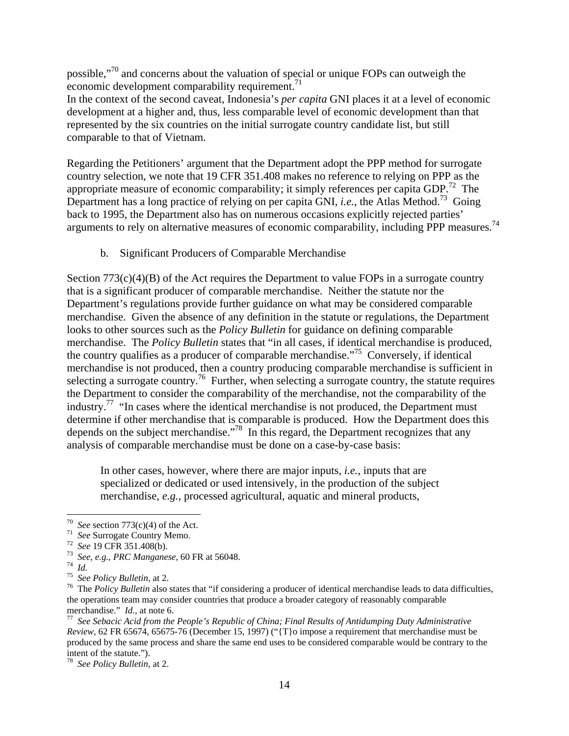possible,"70 and concerns about the valuation of special or unique FOPs can outweigh the economic development comparability requirement. $71$ 

In the context of the second caveat, Indonesia's *per capita* GNI places it at a level of economic development at a higher and, thus, less comparable level of economic development than that represented by the six countries on the initial surrogate country candidate list, but still comparable to that of Vietnam.

Regarding the Petitioners' argument that the Department adopt the PPP method for surrogate country selection, we note that 19 CFR 351.408 makes no reference to relying on PPP as the appropriate measure of economic comparability; it simply references per capita GDP.<sup>72</sup> The Department has a long practice of relying on per capita GNI, *i.e.*, the Atlas Method.<sup>73</sup> Going back to 1995, the Department also has on numerous occasions explicitly rejected parties' arguments to rely on alternative measures of economic comparability, including PPP measures.<sup>74</sup>

b. Significant Producers of Comparable Merchandise

Section  $773(c)(4)(B)$  of the Act requires the Department to value FOPs in a surrogate country that is a significant producer of comparable merchandise. Neither the statute nor the Department's regulations provide further guidance on what may be considered comparable merchandise. Given the absence of any definition in the statute or regulations, the Department looks to other sources such as the *Policy Bulletin* for guidance on defining comparable merchandise. The *Policy Bulletin* states that "in all cases, if identical merchandise is produced, the country qualifies as a producer of comparable merchandise.<sup> $75$ </sup> Conversely, if identical merchandise is not produced, then a country producing comparable merchandise is sufficient in selecting a surrogate country.<sup>76</sup> Further, when selecting a surrogate country, the statute requires the Department to consider the comparability of the merchandise, not the comparability of the industry.<sup>77</sup> "In cases where the identical merchandise is not produced, the Department must determine if other merchandise that is comparable is produced. How the Department does this depends on the subject merchandise."78 In this regard, the Department recognizes that any analysis of comparable merchandise must be done on a case-by-case basis:

In other cases, however, where there are major inputs, *i.e.*, inputs that are specialized or dedicated or used intensively, in the production of the subject merchandise, *e.g.*, processed agricultural, aquatic and mineral products,

78 *See Policy Bulletin*, at 2.

<sup>&</sup>lt;sup>70</sup> See section 773(c)(4) of the Act.

<sup>&</sup>lt;sup>71</sup> See Surrogate Country Memo.<br>
<sup>72</sup> See 19 CFR 351.408(b).<br>
<sup>73</sup> See, e.g., *PRC Manganese*, 60 FR at 56048.<br>
<sup>73</sup> See Policy Bulletin, at 2.<br>
<sup>75</sup> See Policy Bulletin, at 2.<br>
<sup>75</sup> The Policy Bulletin also states that the operations team may consider countries that produce a broader category of reasonably comparable merchandise."  $Id$ , at note 6.

<sup>&</sup>lt;sup>77</sup> See Sebacic Acid from the People's Republic of China; Final Results of Antidumping Duty Administrative *Review*, 62 FR 65674, 65675-76 (December 15, 1997) ("{T}o impose a requirement that merchandise must be produced by the same process and share the same end uses to be considered comparable would be contrary to the intent of the statute.").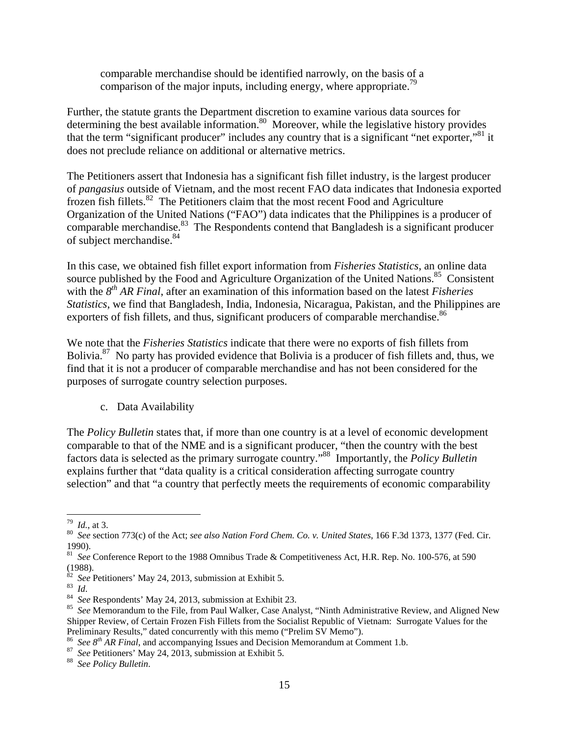comparable merchandise should be identified narrowly, on the basis of a comparison of the major inputs, including energy, where appropriate.<sup>79</sup>

Further, the statute grants the Department discretion to examine various data sources for determining the best available information.<sup>80</sup> Moreover, while the legislative history provides that the term "significant producer" includes any country that is a significant "net exporter,"81 it does not preclude reliance on additional or alternative metrics.

The Petitioners assert that Indonesia has a significant fish fillet industry, is the largest producer of *pangasius* outside of Vietnam, and the most recent FAO data indicates that Indonesia exported frozen fish fillets.82 The Petitioners claim that the most recent Food and Agriculture Organization of the United Nations ("FAO") data indicates that the Philippines is a producer of comparable merchandise.<sup>83</sup> The Respondents contend that Bangladesh is a significant producer of subject merchandise.<sup>84</sup>

In this case, we obtained fish fillet export information from *Fisheries Statistics*, an online data source published by the Food and Agriculture Organization of the United Nations.<sup>85</sup> Consistent with the  $8<sup>th</sup> AR Final$ , after an examination of this information based on the latest *Fisheries Statistics*, we find that Bangladesh, India, Indonesia, Nicaragua, Pakistan, and the Philippines are exporters of fish fillets, and thus, significant producers of comparable merchandise.<sup>86</sup>

We note that the *Fisheries Statistics* indicate that there were no exports of fish fillets from Bolivia.<sup>87</sup> No party has provided evidence that Bolivia is a producer of fish fillets and, thus, we find that it is not a producer of comparable merchandise and has not been considered for the purposes of surrogate country selection purposes.

c. Data Availability

The *Policy Bulletin* states that, if more than one country is at a level of economic development comparable to that of the NME and is a significant producer, "then the country with the best factors data is selected as the primary surrogate country."88 Importantly, the *Policy Bulletin* explains further that "data quality is a critical consideration affecting surrogate country selection" and that "a country that perfectly meets the requirements of economic comparability

<sup>&</sup>lt;sup>79</sup> *Id.*, at 3.<br><sup>80</sup> *See* section 773(c) of the Act; *see also Nation Ford Chem. Co. v. United States*, 166 F.3d 1373, 1377 (Fed. Cir. 1990).

<sup>&</sup>lt;sup>81</sup> *See* Conference Report to the 1988 Omnibus Trade & Competitiveness Act, H.R. Rep. No. 100-576, at 590 (1988).<br><sup>82</sup> See Petitioners' May 24, 2013, submission at Exhibit 5.

 $^{83}$  *Id.*<br><sup>84</sup> *See* Respondents' May 24, 2013, submission at Exhibit 23.<br><sup>85</sup> *See* Memorandum to the File, from Paul Walker, Case Analyst, "Ninth Administrative Review, and Aligned New Shipper Review, of Certain Frozen Fish Fillets from the Socialist Republic of Vietnam: Surrogate Values for the

Preliminary Results," dated concurrently with this memo ("Prelim SV Memo").<br><sup>86</sup> See  $8^{th}$  AR Final, and accompanying Issues and Decision Memorandum at Comment 1.b.<br><sup>87</sup> See Petitioners' May 24, 2013, submission at Exhib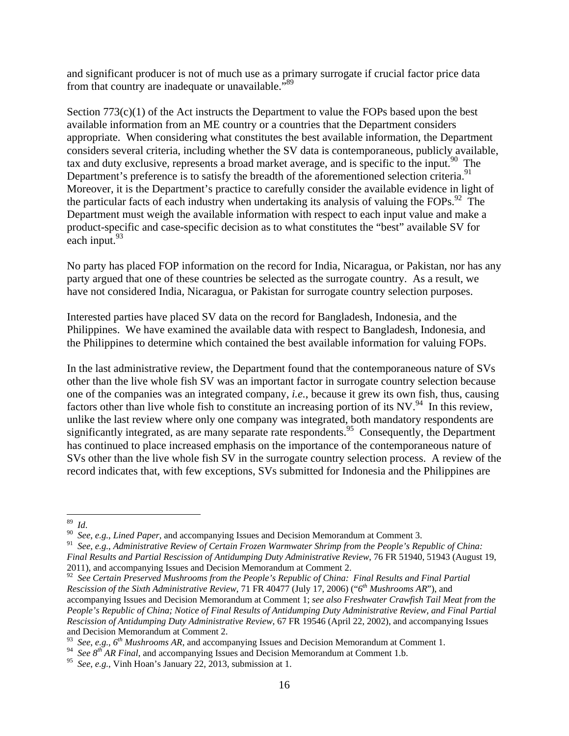and significant producer is not of much use as a primary surrogate if crucial factor price data from that country are inadequate or unavailable."<sup>89</sup>

Section  $773(c)(1)$  of the Act instructs the Department to value the FOPs based upon the best available information from an ME country or a countries that the Department considers appropriate. When considering what constitutes the best available information, the Department considers several criteria, including whether the SV data is contemporaneous, publicly available, tax and duty exclusive, represents a broad market average, and is specific to the input.<sup>90</sup> The Department's preference is to satisfy the breadth of the aforementioned selection criteria.<sup>91</sup> Moreover, it is the Department's practice to carefully consider the available evidence in light of the particular facts of each industry when undertaking its analysis of valuing the FOPs.<sup>92</sup> The Department must weigh the available information with respect to each input value and make a product-specific and case-specific decision as to what constitutes the "best" available SV for each input.  $93$ 

No party has placed FOP information on the record for India, Nicaragua, or Pakistan, nor has any party argued that one of these countries be selected as the surrogate country. As a result, we have not considered India, Nicaragua, or Pakistan for surrogate country selection purposes.

Interested parties have placed SV data on the record for Bangladesh, Indonesia, and the Philippines. We have examined the available data with respect to Bangladesh, Indonesia, and the Philippines to determine which contained the best available information for valuing FOPs.

In the last administrative review, the Department found that the contemporaneous nature of SVs other than the live whole fish SV was an important factor in surrogate country selection because one of the companies was an integrated company, *i.e.*, because it grew its own fish, thus, causing factors other than live whole fish to constitute an increasing portion of its  $NV<sup>94</sup>$ . In this review, unlike the last review where only one company was integrated, both mandatory respondents are significantly integrated, as are many separate rate respondents.<sup>95</sup> Consequently, the Department has continued to place increased emphasis on the importance of the contemporaneous nature of SVs other than the live whole fish SV in the surrogate country selection process. A review of the record indicates that, with few exceptions, SVs submitted for Indonesia and the Philippines are

<sup>89</sup>*Id*. 90 *See*, *e.g.*, *Lined Paper*, and accompanying Issues and Decision Memorandum at Comment 3.

<sup>91</sup> *See*, *e.g.*, *Administrative Review of Certain Frozen Warmwater Shrimp from the People's Republic of China: Final Results and Partial Rescission of Antidumping Duty Administrative Review*, 76 FR 51940, 51943 (August 19, 2011), and accompanying Issues and Decision Memorandum at Comment 2.

<sup>92</sup> *See Certain Preserved Mushrooms from the People's Republic of China: Final Results and Final Partial Rescission of the Sixth Administrative Review*, 71 FR 40477 (July 17, 2006) ("*6th Mushrooms AR*"), and accompanying Issues and Decision Memorandum at Comment 1; *see also Freshwater Crawfish Tail Meat from the People's Republic of China; Notice of Final Results of Antidumping Duty Administrative Review, and Final Partial Rescission of Antidumping Duty Administrative Review*, 67 FR 19546 (April 22, 2002), and accompanying Issues and Decision Memorandum at Comment 2.

<sup>93</sup> *See*, *e.g.*, *6th Mushrooms AR*, and accompanying Issues and Decision Memorandum at Comment 1.

<sup>&</sup>lt;sup>94</sup> *See 8<sup>th</sup> AR Final*, and accompanying Issues and Decision Memorandum at Comment 1.b.

<sup>95</sup> *See*, *e.g.*, Vinh Hoan's January 22, 2013, submission at 1.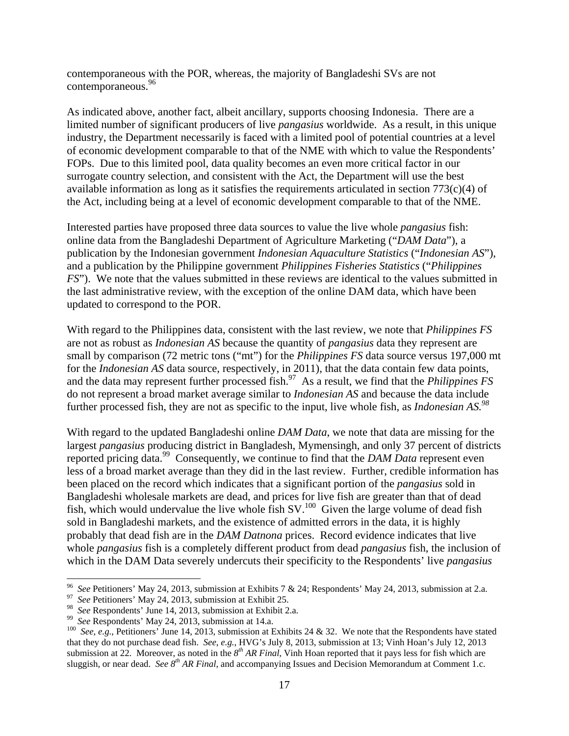contemporaneous with the POR, whereas, the majority of Bangladeshi SVs are not contemporaneous.96

As indicated above, another fact, albeit ancillary, supports choosing Indonesia. There are a limited number of significant producers of live *pangasius* worldwide. As a result, in this unique industry, the Department necessarily is faced with a limited pool of potential countries at a level of economic development comparable to that of the NME with which to value the Respondents' FOPs. Due to this limited pool, data quality becomes an even more critical factor in our surrogate country selection, and consistent with the Act, the Department will use the best available information as long as it satisfies the requirements articulated in section  $773(c)(4)$  of the Act, including being at a level of economic development comparable to that of the NME.

Interested parties have proposed three data sources to value the live whole *pangasius* fish: online data from the Bangladeshi Department of Agriculture Marketing ("*DAM Data*"), a publication by the Indonesian government *Indonesian Aquaculture Statistics* ("*Indonesian AS*"), and a publication by the Philippine government *Philippines Fisheries Statistics* ("*Philippines FS*"). We note that the values submitted in these reviews are identical to the values submitted in the last administrative review, with the exception of the online DAM data, which have been updated to correspond to the POR.

With regard to the Philippines data, consistent with the last review, we note that *Philippines FS* are not as robust as *Indonesian AS* because the quantity of *pangasius* data they represent are small by comparison (72 metric tons ("mt") for the *Philippines FS* data source versus 197,000 mt for the *Indonesian AS* data source, respectively, in 2011), that the data contain few data points, and the data may represent further processed fish.<sup>97</sup> As a result, we find that the *Philippines FS* do not represent a broad market average similar to *Indonesian AS* and because the data include further processed fish, they are not as specific to the input, live whole fish, as *Indonesian AS.98*

With regard to the updated Bangladeshi online *DAM Data*, we note that data are missing for the largest *pangasius* producing district in Bangladesh, Mymensingh, and only 37 percent of districts reported pricing data.99 Consequently, we continue to find that the *DAM Data* represent even less of a broad market average than they did in the last review. Further, credible information has been placed on the record which indicates that a significant portion of the *pangasius* sold in Bangladeshi wholesale markets are dead, and prices for live fish are greater than that of dead fish, which would undervalue the live whole fish  $SV<sup>100</sup>$  Given the large volume of dead fish sold in Bangladeshi markets, and the existence of admitted errors in the data, it is highly probably that dead fish are in the *DAM Datnona* prices. Record evidence indicates that live whole *pangasius* fish is a completely different product from dead *pangasius* fish, the inclusion of which in the DAM Data severely undercuts their specificity to the Respondents' live *pangasius*

<sup>96</sup>*See* Petitioners' May 24, 2013, submission at Exhibits 7 & 24; Respondents' May 24, 2013, submission at 2.a. 97 *See* Petitioners' May 24, 2013, submission at Exhibit 25.

<sup>&</sup>lt;sup>98</sup> See Respondents' June 14, 2013, submission at Exhibit 2.a.<br><sup>99</sup> See Respondents' May 24, 2013, submission at 14.a.<br><sup>99</sup> See, e.g., Petitioners' June 14, 2013, submission at Exhibits 24 & 32. We note that the Responde that they do not purchase dead fish. *See*, *e.g.*, HVG's July 8, 2013, submission at 13; Vinh Hoan's July 12, 2013 submission at 22. Moreover, as noted in the *8th AR Final*, Vinh Hoan reported that it pays less for fish which are sluggish, or near dead. *See 8th AR Final*, and accompanying Issues and Decision Memorandum at Comment 1.c.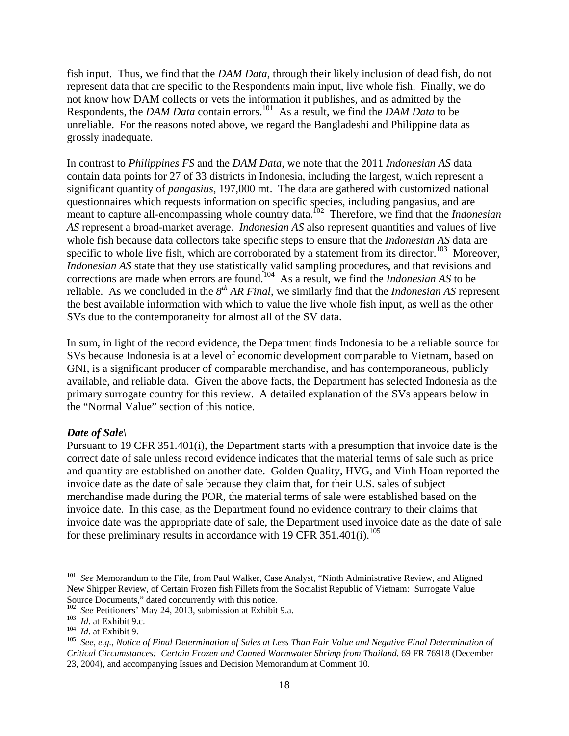fish input. Thus, we find that the *DAM Data*, through their likely inclusion of dead fish, do not represent data that are specific to the Respondents main input, live whole fish. Finally, we do not know how DAM collects or vets the information it publishes, and as admitted by the Respondents, the *DAM Data* contain errors.<sup>101</sup> As a result, we find the *DAM Data* to be unreliable. For the reasons noted above, we regard the Bangladeshi and Philippine data as grossly inadequate.

In contrast to *Philippines FS* and the *DAM Data*, we note that the 2011 *Indonesian AS* data contain data points for 27 of 33 districts in Indonesia, including the largest, which represent a significant quantity of *pangasius*, 197,000 mt. The data are gathered with customized national questionnaires which requests information on specific species, including pangasius, and are meant to capture all-encompassing whole country data.<sup>102</sup> Therefore, we find that the *Indonesian AS* represent a broad-market average. *Indonesian AS* also represent quantities and values of live whole fish because data collectors take specific steps to ensure that the *Indonesian AS* data are specific to whole live fish, which are corroborated by a statement from its director.<sup>103</sup> Moreover, *Indonesian AS* state that they use statistically valid sampling procedures, and that revisions and corrections are made when errors are found.104 As a result, we find the *Indonesian AS* to be reliable. As we concluded in the *8th AR Final*, we similarly find that the *Indonesian AS* represent the best available information with which to value the live whole fish input, as well as the other SVs due to the contemporaneity for almost all of the SV data.

In sum, in light of the record evidence, the Department finds Indonesia to be a reliable source for SVs because Indonesia is at a level of economic development comparable to Vietnam, based on GNI, is a significant producer of comparable merchandise, and has contemporaneous, publicly available, and reliable data. Given the above facts, the Department has selected Indonesia as the primary surrogate country for this review. A detailed explanation of the SVs appears below in the "Normal Value" section of this notice.

## *Date of Sale\*

Pursuant to 19 CFR 351.401(i), the Department starts with a presumption that invoice date is the correct date of sale unless record evidence indicates that the material terms of sale such as price and quantity are established on another date. Golden Quality, HVG, and Vinh Hoan reported the invoice date as the date of sale because they claim that, for their U.S. sales of subject merchandise made during the POR, the material terms of sale were established based on the invoice date. In this case, as the Department found no evidence contrary to their claims that invoice date was the appropriate date of sale, the Department used invoice date as the date of sale for these preliminary results in accordance with 19 CFR  $351.401(i).^{105}$ 

<sup>101</sup> *See* Memorandum to the File, from Paul Walker, Case Analyst, "Ninth Administrative Review, and Aligned New Shipper Review, of Certain Frozen fish Fillets from the Socialist Republic of Vietnam: Surrogate Value Source Documents," dated concurrently with this notice.<br><sup>102</sup> See Petitioners' May 24, 2013, submission at Exhibit 9.a.

<sup>&</sup>lt;sup>103</sup> *Id.* at Exhibit 9.c.<br><sup>104</sup> *Id.* at Exhibit 9.<br><sup>104</sup> *Id.* at Exhibit 9.<br><sup>105</sup> *See, e.g., Notice of Final Determination of Sales at Less Than Fair Value and Negative Final Determination of Critical Circumstances: Certain Frozen and Canned Warmwater Shrimp from Thailand*, 69 FR 76918 (December 23, 2004), and accompanying Issues and Decision Memorandum at Comment 10.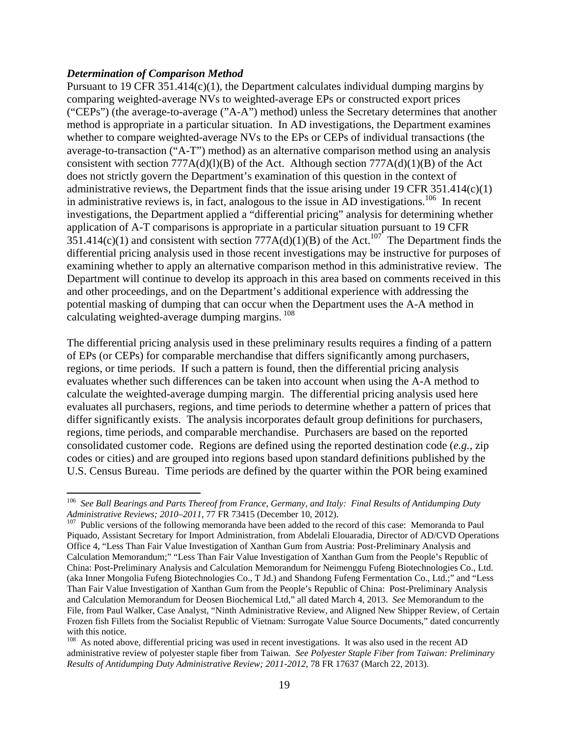#### *Determination of Comparison Method*

Pursuant to 19 CFR 351.414(c)(1), the Department calculates individual dumping margins by comparing weighted-average NVs to weighted-average EPs or constructed export prices ("CEPs") (the average-to-average ("A-A") method) unless the Secretary determines that another method is appropriate in a particular situation. In AD investigations, the Department examines whether to compare weighted-average NVs to the EPs or CEPs of individual transactions (the average-to-transaction ("A-T") method) as an alternative comparison method using an analysis consistent with section  $777A(d)(l)(B)$  of the Act. Although section  $777A(d)(l)(B)$  of the Act does not strictly govern the Department's examination of this question in the context of administrative reviews, the Department finds that the issue arising under 19 CFR 351.414(c)(1) in administrative reviews is, in fact, analogous to the issue in AD investigations.<sup>106</sup> In recent investigations, the Department applied a "differential pricing" analysis for determining whether application of A-T comparisons is appropriate in a particular situation pursuant to 19 CFR  $351.414(c)(1)$  and consistent with section  $777A(d)(1)(B)$  of the Act.<sup>107</sup> The Department finds the differential pricing analysis used in those recent investigations may be instructive for purposes of examining whether to apply an alternative comparison method in this administrative review. The Department will continue to develop its approach in this area based on comments received in this and other proceedings, and on the Department's additional experience with addressing the potential masking of dumping that can occur when the Department uses the A-A method in calculating weighted-average dumping margins. 108

The differential pricing analysis used in these preliminary results requires a finding of a pattern of EPs (or CEPs) for comparable merchandise that differs significantly among purchasers, regions, or time periods. If such a pattern is found, then the differential pricing analysis evaluates whether such differences can be taken into account when using the A-A method to calculate the weighted-average dumping margin. The differential pricing analysis used here evaluates all purchasers, regions, and time periods to determine whether a pattern of prices that differ significantly exists. The analysis incorporates default group definitions for purchasers, regions, time periods, and comparable merchandise. Purchasers are based on the reported consolidated customer code. Regions are defined using the reported destination code (*e.g.*, zip codes or cities) and are grouped into regions based upon standard definitions published by the U.S. Census Bureau. Time periods are defined by the quarter within the POR being examined

<sup>&</sup>lt;sup>106</sup> *See Ball Bearings and Parts Thereof from France, Germany, and Italy: Final Results of Antidumping Duty Administrative Reviews; 2010–2011, 77 FR 73415 (December 10, 2012).* 

<sup>&</sup>lt;sup>107</sup> Public versions of the following memoranda have been added to the record of this case: Memoranda to Paul Piquado, Assistant Secretary for Import Administration, from Abdelali Elouaradia, Director of AD/CVD Operations Office 4, "Less Than Fair Value Investigation of Xanthan Gum from Austria: Post-Preliminary Analysis and Calculation Memorandum;" "Less Than Fair Value Investigation of Xanthan Gum from the People's Republic of China: Post-Preliminary Analysis and Calculation Memorandum for Neimenggu Fufeng Biotechnologies Co., Ltd. (aka Inner Mongolia Fufeng Biotechnologies Co., T Jd.) and Shandong Fufeng Fermentation Co., Ltd.;" and "Less Than Fair Value Investigation of Xanthan Gum from the People's Republic of China: Post-Preliminary Analysis and Calculation Memorandum for Deosen Biochemical Ltd," all dated March 4, 2013. *See* Memorandum to the File, from Paul Walker, Case Analyst, "Ninth Administrative Review, and Aligned New Shipper Review, of Certain Frozen fish Fillets from the Socialist Republic of Vietnam: Surrogate Value Source Documents," dated concurrently with this notice.

<sup>&</sup>lt;sup>108</sup> As noted above, differential pricing was used in recent investigations. It was also used in the recent AD administrative review of polyester staple fiber from Taiwan. *See Polyester Staple Fiber from Taiwan: Preliminary Results of Antidumping Duty Administrative Review; 2011-2012*, 78 FR 17637 (March 22, 2013).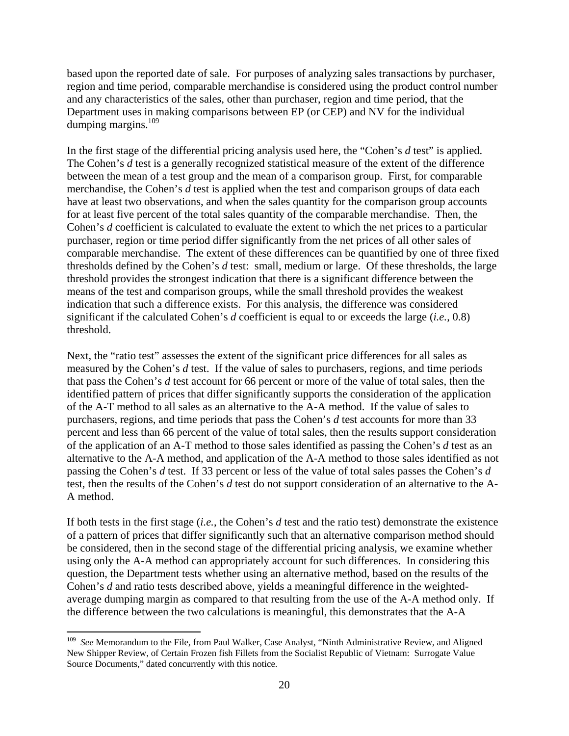based upon the reported date of sale. For purposes of analyzing sales transactions by purchaser, region and time period, comparable merchandise is considered using the product control number and any characteristics of the sales, other than purchaser, region and time period, that the Department uses in making comparisons between EP (or CEP) and NV for the individual dumping margins. $109$ 

In the first stage of the differential pricing analysis used here, the "Cohen's *d* test" is applied. The Cohen's *d* test is a generally recognized statistical measure of the extent of the difference between the mean of a test group and the mean of a comparison group. First, for comparable merchandise, the Cohen's *d* test is applied when the test and comparison groups of data each have at least two observations, and when the sales quantity for the comparison group accounts for at least five percent of the total sales quantity of the comparable merchandise. Then, the Cohen's *d* coefficient is calculated to evaluate the extent to which the net prices to a particular purchaser, region or time period differ significantly from the net prices of all other sales of comparable merchandise. The extent of these differences can be quantified by one of three fixed thresholds defined by the Cohen's *d* test: small, medium or large. Of these thresholds, the large threshold provides the strongest indication that there is a significant difference between the means of the test and comparison groups, while the small threshold provides the weakest indication that such a difference exists. For this analysis, the difference was considered significant if the calculated Cohen's *d* coefficient is equal to or exceeds the large (*i.e.*, 0.8) threshold.

Next, the "ratio test" assesses the extent of the significant price differences for all sales as measured by the Cohen's *d* test. If the value of sales to purchasers, regions, and time periods that pass the Cohen's *d* test account for 66 percent or more of the value of total sales, then the identified pattern of prices that differ significantly supports the consideration of the application of the A-T method to all sales as an alternative to the A-A method. If the value of sales to purchasers, regions, and time periods that pass the Cohen's *d* test accounts for more than 33 percent and less than 66 percent of the value of total sales, then the results support consideration of the application of an A-T method to those sales identified as passing the Cohen's *d* test as an alternative to the A-A method, and application of the A-A method to those sales identified as not passing the Cohen's *d* test. If 33 percent or less of the value of total sales passes the Cohen's *d* test, then the results of the Cohen's *d* test do not support consideration of an alternative to the A-A method.

If both tests in the first stage (*i.e.*, the Cohen's *d* test and the ratio test) demonstrate the existence of a pattern of prices that differ significantly such that an alternative comparison method should be considered, then in the second stage of the differential pricing analysis, we examine whether using only the A-A method can appropriately account for such differences. In considering this question, the Department tests whether using an alternative method, based on the results of the Cohen's *d* and ratio tests described above, yields a meaningful difference in the weightedaverage dumping margin as compared to that resulting from the use of the A-A method only. If the difference between the two calculations is meaningful, this demonstrates that the A-A

<sup>109</sup> *See* Memorandum to the File, from Paul Walker, Case Analyst, "Ninth Administrative Review, and Aligned New Shipper Review, of Certain Frozen fish Fillets from the Socialist Republic of Vietnam: Surrogate Value Source Documents," dated concurrently with this notice.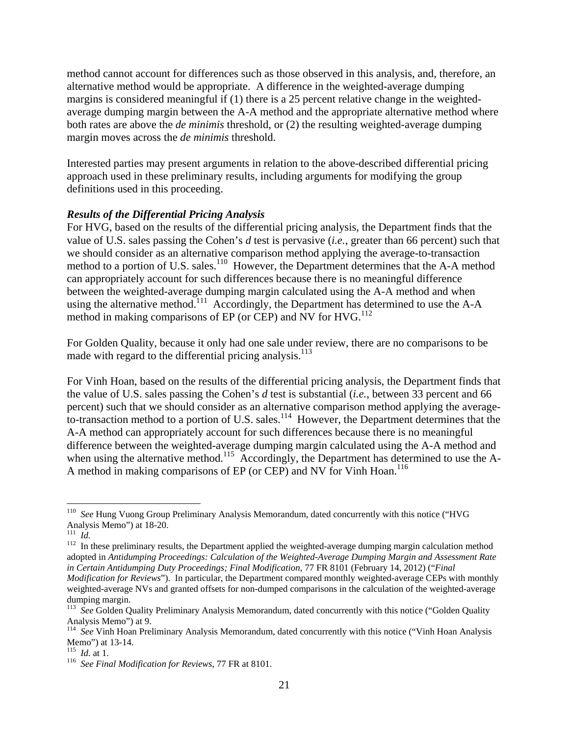method cannot account for differences such as those observed in this analysis, and, therefore, an alternative method would be appropriate. A difference in the weighted-average dumping margins is considered meaningful if (1) there is a 25 percent relative change in the weightedaverage dumping margin between the A-A method and the appropriate alternative method where both rates are above the *de minimis* threshold, or (2) the resulting weighted-average dumping margin moves across the *de minimis* threshold.

Interested parties may present arguments in relation to the above-described differential pricing approach used in these preliminary results, including arguments for modifying the group definitions used in this proceeding.

## *Results of the Differential Pricing Analysis*

For HVG, based on the results of the differential pricing analysis, the Department finds that the value of U.S. sales passing the Cohen's *d* test is pervasive (*i.e.*, greater than 66 percent) such that we should consider as an alternative comparison method applying the average-to-transaction method to a portion of U.S. sales. $110$  However, the Department determines that the A-A method can appropriately account for such differences because there is no meaningful difference between the weighted-average dumping margin calculated using the A-A method and when using the alternative method.<sup>111</sup> Accordingly, the Department has determined to use the A-A method in making comparisons of EP (or CEP) and NV for  $HVG<sup>112</sup>$ 

For Golden Quality, because it only had one sale under review, there are no comparisons to be made with regard to the differential pricing analysis.<sup>113</sup>

For Vinh Hoan, based on the results of the differential pricing analysis, the Department finds that the value of U.S. sales passing the Cohen's *d* test is substantial (*i.e.*, between 33 percent and 66 percent) such that we should consider as an alternative comparison method applying the averageto-transaction method to a portion of U.S. sales.<sup>114</sup> However, the Department determines that the A-A method can appropriately account for such differences because there is no meaningful difference between the weighted-average dumping margin calculated using the A-A method and when using the alternative method.<sup>115</sup> Accordingly, the Department has determined to use the A-A method in making comparisons of EP (or CEP) and NV for Vinh Hoan.<sup>116</sup>

 <sup>110</sup> See Hung Vuong Group Preliminary Analysis Memorandum, dated concurrently with this notice ("HVG Analysis Memo") at 18-20.<br> $\frac{111}{11}$  *Id.* 

<sup>&</sup>lt;sup>112</sup> In these preliminary results, the Department applied the weighted-average dumping margin calculation method adopted in *Antidumping Proceedings: Calculation of the Weighted-Average Dumping Margin and Assessment Rate in Certain Antidumping Duty Proceedings; Final Modification*, 77 FR 8101 (February 14, 2012) ("*Final Modification for Reviews*"). In particular, the Department compared monthly weighted-average CEPs with monthly

weighted-average NVs and granted offsets for non-dumped comparisons in the calculation of the weighted-average dumping margin.

<sup>&</sup>lt;sup>113</sup> See Golden Quality Preliminary Analysis Memorandum, dated concurrently with this notice ("Golden Quality Analysis Memo") at 9.

<sup>&</sup>lt;sup>114</sup> See Vinh Hoan Preliminary Analysis Memorandum, dated concurrently with this notice ("Vinh Hoan Analysis Memo") at 13-14.<br> $\frac{115}{115}$  *Id.* at 1.

<sup>&</sup>lt;sup>116</sup> *See Final Modification for Reviews*, 77 FR at 8101.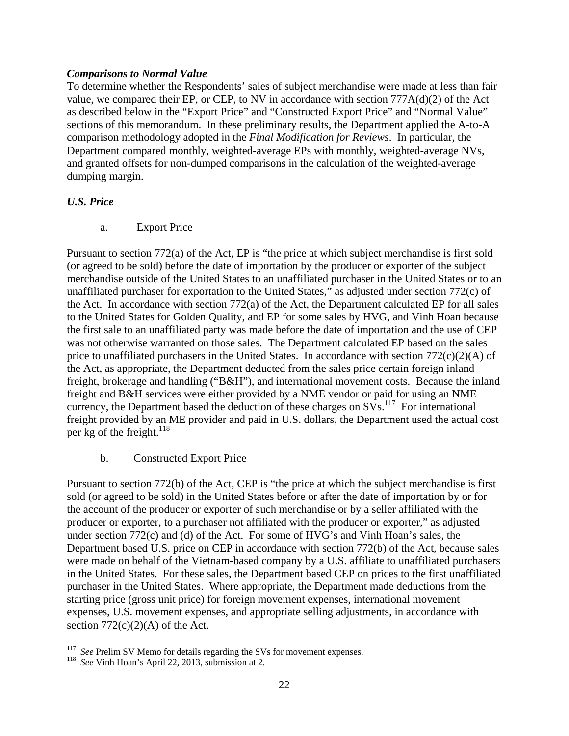## *Comparisons to Normal Value*

To determine whether the Respondents' sales of subject merchandise were made at less than fair value, we compared their EP, or CEP, to NV in accordance with section 777A(d)(2) of the Act as described below in the "Export Price" and "Constructed Export Price" and "Normal Value" sections of this memorandum. In these preliminary results, the Department applied the A-to-A comparison methodology adopted in the *Final Modification for Reviews*. In particular, the Department compared monthly, weighted-average EPs with monthly, weighted-average NVs, and granted offsets for non-dumped comparisons in the calculation of the weighted-average dumping margin.

# *U.S. Price*

a. Export Price

Pursuant to section 772(a) of the Act, EP is "the price at which subject merchandise is first sold (or agreed to be sold) before the date of importation by the producer or exporter of the subject merchandise outside of the United States to an unaffiliated purchaser in the United States or to an unaffiliated purchaser for exportation to the United States," as adjusted under section 772(c) of the Act. In accordance with section 772(a) of the Act, the Department calculated EP for all sales to the United States for Golden Quality, and EP for some sales by HVG, and Vinh Hoan because the first sale to an unaffiliated party was made before the date of importation and the use of CEP was not otherwise warranted on those sales. The Department calculated EP based on the sales price to unaffiliated purchasers in the United States. In accordance with section  $772(c)(2)(A)$  of the Act, as appropriate, the Department deducted from the sales price certain foreign inland freight, brokerage and handling ("B&H"), and international movement costs. Because the inland freight and B&H services were either provided by a NME vendor or paid for using an NME currency, the Department based the deduction of these charges on  $SVs$ <sup>117</sup>. For international freight provided by an ME provider and paid in U.S. dollars, the Department used the actual cost per kg of the freight. $^{118}$ 

# b. Constructed Export Price

Pursuant to section 772(b) of the Act, CEP is "the price at which the subject merchandise is first sold (or agreed to be sold) in the United States before or after the date of importation by or for the account of the producer or exporter of such merchandise or by a seller affiliated with the producer or exporter, to a purchaser not affiliated with the producer or exporter," as adjusted under section 772(c) and (d) of the Act. For some of HVG's and Vinh Hoan's sales, the Department based U.S. price on CEP in accordance with section 772(b) of the Act, because sales were made on behalf of the Vietnam-based company by a U.S. affiliate to unaffiliated purchasers in the United States. For these sales, the Department based CEP on prices to the first unaffiliated purchaser in the United States. Where appropriate, the Department made deductions from the starting price (gross unit price) for foreign movement expenses, international movement expenses, U.S. movement expenses, and appropriate selling adjustments, in accordance with section  $772(c)(2)(A)$  of the Act.

 <sup>117</sup> See Prelim SV Memo for details regarding the SVs for movement expenses.<br><sup>118</sup> See Vinh Hoan's April 22, 2013, submission at 2.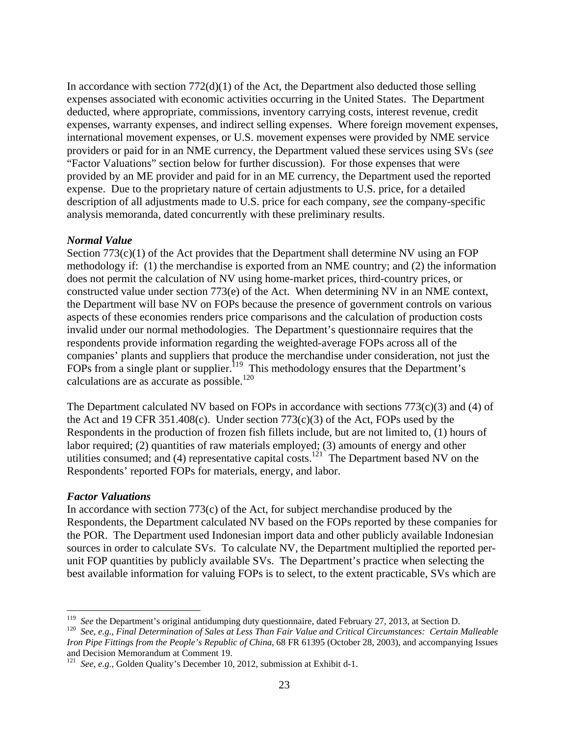In accordance with section  $772(d)(1)$  of the Act, the Department also deducted those selling expenses associated with economic activities occurring in the United States. The Department deducted, where appropriate, commissions, inventory carrying costs, interest revenue, credit expenses, warranty expenses, and indirect selling expenses. Where foreign movement expenses, international movement expenses, or U.S. movement expenses were provided by NME service providers or paid for in an NME currency, the Department valued these services using SVs (*see* "Factor Valuations" section below for further discussion). For those expenses that were provided by an ME provider and paid for in an ME currency, the Department used the reported expense. Due to the proprietary nature of certain adjustments to U.S. price, for a detailed description of all adjustments made to U.S. price for each company, *see* the company-specific analysis memoranda, dated concurrently with these preliminary results.

#### *Normal Value*

Section 773(c)(1) of the Act provides that the Department shall determine NV using an FOP methodology if: (1) the merchandise is exported from an NME country; and (2) the information does not permit the calculation of NV using home-market prices, third-country prices, or constructed value under section 773(e) of the Act. When determining NV in an NME context, the Department will base NV on FOPs because the presence of government controls on various aspects of these economies renders price comparisons and the calculation of production costs invalid under our normal methodologies. The Department's questionnaire requires that the respondents provide information regarding the weighted-average FOPs across all of the companies' plants and suppliers that produce the merchandise under consideration, not just the FOPs from a single plant or supplier.<sup>119</sup> This methodology ensures that the Department's calculations are as accurate as possible. $120$ 

The Department calculated NV based on FOPs in accordance with sections  $773(c)(3)$  and (4) of the Act and 19 CFR 351.408(c). Under section 773(c)(3) of the Act, FOPs used by the Respondents in the production of frozen fish fillets include, but are not limited to, (1) hours of labor required; (2) quantities of raw materials employed; (3) amounts of energy and other utilities consumed; and (4) representative capital costs.<sup>121</sup> The Department based NV on the Respondents' reported FOPs for materials, energy, and labor.

#### *Factor Valuations*

In accordance with section 773(c) of the Act, for subject merchandise produced by the Respondents, the Department calculated NV based on the FOPs reported by these companies for the POR. The Department used Indonesian import data and other publicly available Indonesian sources in order to calculate SVs. To calculate NV, the Department multiplied the reported perunit FOP quantities by publicly available SVs. The Department's practice when selecting the best available information for valuing FOPs is to select, to the extent practicable, SVs which are

 $119$  See the Department's original antidumping duty questionnaire, dated February 27, 2013, at Section D.

<sup>&</sup>lt;sup>120</sup> See, e.g., Final Determination of Sales at Less Than Fair Value and Critical Circumstances: Certain Malleable *Iron Pipe Fittings from the People's Republic of China*, 68 FR 61395 (October 28, 2003), and accompanying Issues and Decision Memorandum at Comment 19.

<sup>121</sup> *See*, *e.g.*, Golden Quality's December 10, 2012, submission at Exhibit d-1.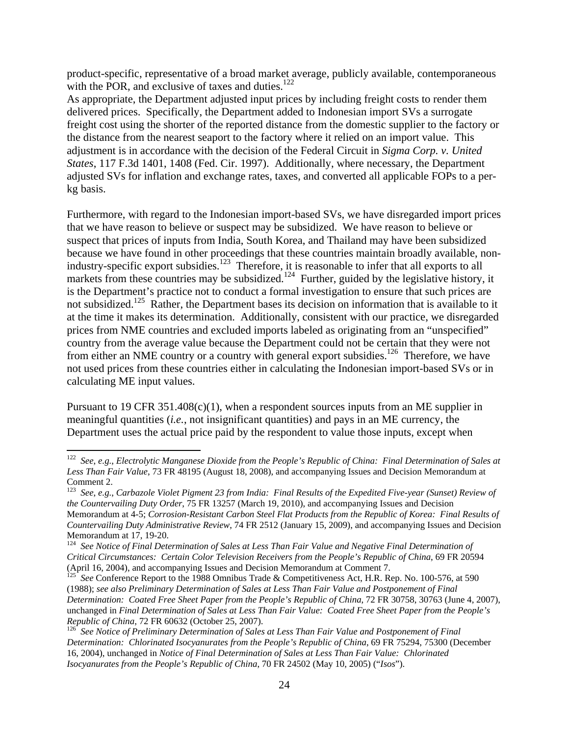product-specific, representative of a broad market average, publicly available, contemporaneous with the POR, and exclusive of taxes and duties. $122$ 

As appropriate, the Department adjusted input prices by including freight costs to render them delivered prices. Specifically, the Department added to Indonesian import SVs a surrogate freight cost using the shorter of the reported distance from the domestic supplier to the factory or the distance from the nearest seaport to the factory where it relied on an import value. This adjustment is in accordance with the decision of the Federal Circuit in *Sigma Corp. v. United States*, 117 F.3d 1401, 1408 (Fed. Cir. 1997). Additionally, where necessary, the Department adjusted SVs for inflation and exchange rates, taxes, and converted all applicable FOPs to a perkg basis.

Furthermore, with regard to the Indonesian import-based SVs, we have disregarded import prices that we have reason to believe or suspect may be subsidized. We have reason to believe or suspect that prices of inputs from India, South Korea, and Thailand may have been subsidized because we have found in other proceedings that these countries maintain broadly available, nonindustry-specific export subsidies.123 Therefore, it is reasonable to infer that all exports to all markets from these countries may be subsidized.<sup>124</sup> Further, guided by the legislative history, it is the Department's practice not to conduct a formal investigation to ensure that such prices are not subsidized.<sup>125</sup> Rather, the Department bases its decision on information that is available to it at the time it makes its determination. Additionally, consistent with our practice, we disregarded prices from NME countries and excluded imports labeled as originating from an "unspecified" country from the average value because the Department could not be certain that they were not from either an NME country or a country with general export subsidies.<sup>126</sup> Therefore, we have not used prices from these countries either in calculating the Indonesian import-based SVs or in calculating ME input values.

Pursuant to 19 CFR 351.408(c)(1), when a respondent sources inputs from an ME supplier in meaningful quantities (*i.e.*, not insignificant quantities) and pays in an ME currency, the Department uses the actual price paid by the respondent to value those inputs, except when

<sup>122</sup> *See*, *e.g.*, *Electrolytic Manganese Dioxide from the People's Republic of China: Final Determination of Sales at Less Than Fair Value*, 73 FR 48195 (August 18, 2008), and accompanying Issues and Decision Memorandum at Comment 2.

<sup>123</sup> *See*, *e.g.*, *Carbazole Violet Pigment 23 from India: Final Results of the Expedited Five-year (Sunset) Review of the Countervailing Duty Order*, 75 FR 13257 (March 19, 2010), and accompanying Issues and Decision Memorandum at 4-5; *Corrosion-Resistant Carbon Steel Flat Products from the Republic of Korea: Final Results of Countervailing Duty Administrative Review*, 74 FR 2512 (January 15, 2009), and accompanying Issues and Decision Memorandum at 17, 19-20.

<sup>124</sup> *See Notice of Final Determination of Sales at Less Than Fair Value and Negative Final Determination of Critical Circumstances: Certain Color Television Receivers from the People's Republic of China*, 69 FR 20594 (April 16, 2004), and accompanying Issues and Decision Memorandum at Comment 7.<br><sup>125</sup> *See* Conference Report to the 1988 Omnibus Trade & Competitiveness Act, H.R. Rep. No. 100-576, at 590

<sup>(1988);</sup> *see also Preliminary Determination of Sales at Less Than Fair Value and Postponement of Final Determination: Coated Free Sheet Paper from the People's Republic of China*, 72 FR 30758, 30763 (June 4, 2007), unchanged in *Final Determination of Sales at Less Than Fair Value: Coated Free Sheet Paper from the People's Republic of China, 72 FR 60632 (October 25, 2007).*<br><sup>126</sup> *See Notice of Preliminary Determination of Sales at Less Than Fair Value and Postponement of Final* 

*Determination: Chlorinated Isocyanurates from the People's Republic of China*, 69 FR 75294, 75300 (December 16, 2004), unchanged in *Notice of Final Determination of Sales at Less Than Fair Value: Chlorinated Isocyanurates from the People's Republic of China*, 70 FR 24502 (May 10, 2005) ("*Isos*").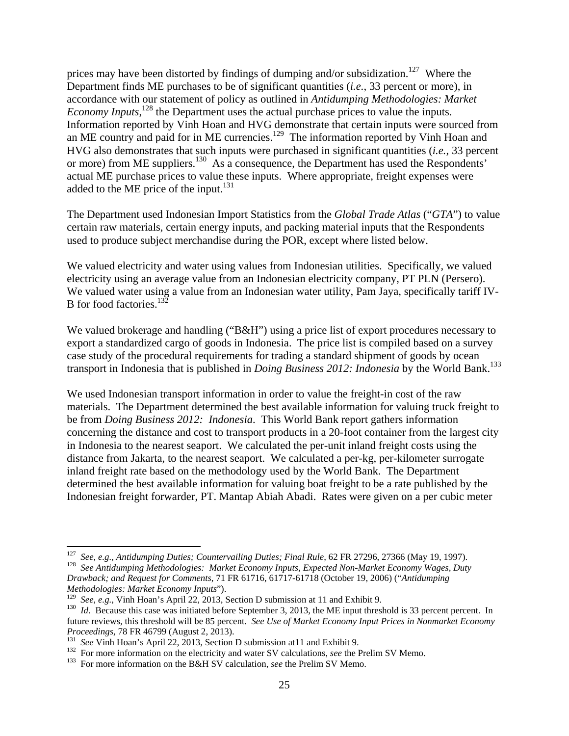prices may have been distorted by findings of dumping and/or subsidization.<sup>127</sup> Where the Department finds ME purchases to be of significant quantities (*i.e.*, 33 percent or more), in accordance with our statement of policy as outlined in *Antidumping Methodologies: Market Economy Inputs*,<sup>128</sup>, the Department uses the actual purchase prices to value the inputs. Information reported by Vinh Hoan and HVG demonstrate that certain inputs were sourced from an ME country and paid for in ME currencies.<sup>129</sup> The information reported by Vinh Hoan and HVG also demonstrates that such inputs were purchased in significant quantities (*i.e.*, 33 percent or more) from ME suppliers.<sup>130</sup> As a consequence, the Department has used the Respondents' actual ME purchase prices to value these inputs. Where appropriate, freight expenses were added to the ME price of the input. $^{131}$ 

The Department used Indonesian Import Statistics from the *Global Trade Atlas* ("*GTA*") to value certain raw materials, certain energy inputs, and packing material inputs that the Respondents used to produce subject merchandise during the POR, except where listed below.

We valued electricity and water using values from Indonesian utilities. Specifically, we valued electricity using an average value from an Indonesian electricity company, PT PLN (Persero). We valued water using a value from an Indonesian water utility, Pam Jaya, specifically tariff IV-B for food factories.<sup>132</sup>

We valued brokerage and handling ("B&H") using a price list of export procedures necessary to export a standardized cargo of goods in Indonesia. The price list is compiled based on a survey case study of the procedural requirements for trading a standard shipment of goods by ocean transport in Indonesia that is published in *Doing Business 2012: Indonesia* by the World Bank.<sup>133</sup>

We used Indonesian transport information in order to value the freight-in cost of the raw materials. The Department determined the best available information for valuing truck freight to be from *Doing Business 2012: Indonesia*. This World Bank report gathers information concerning the distance and cost to transport products in a 20-foot container from the largest city in Indonesia to the nearest seaport. We calculated the per-unit inland freight costs using the distance from Jakarta, to the nearest seaport. We calculated a per-kg, per-kilometer surrogate inland freight rate based on the methodology used by the World Bank. The Department determined the best available information for valuing boat freight to be a rate published by the Indonesian freight forwarder, PT. Mantap Abiah Abadi. Rates were given on a per cubic meter

<sup>&</sup>lt;sup>127</sup> See, e.g., Antidumping Duties; Countervailing Duties; Final Rule, 62 FR 27296, 27366 (May 19, 1997).<br><sup>128</sup> See Antidumping Methodologies: Market Economy Inputs, Expected Non-Market Economy Wages, Duty *Drawback; and Request for Comments*, 71 FR 61716, 61717-61718 (October 19, 2006) ("*Antidumping* 

*Methodologies: Market Economy Inputs*").

<sup>&</sup>lt;sup>130</sup> Id. Because this case was initiated before September 3, 2013, the ME input threshold is 33 percent percent. In future reviews, this threshold will be 85 percent. *See Use of Market Economy Input Prices in Nonmarket Economy Proceedings*, 78 FR 46799 (August 2, 2013).<br><sup>131</sup> *See* Vinh Hoan's April 22, 2013, Section D submission at 11 and Exhibit 9.<br><sup>132</sup> For more information on the electricity and water SV calculations, *see* the Prelim SV Me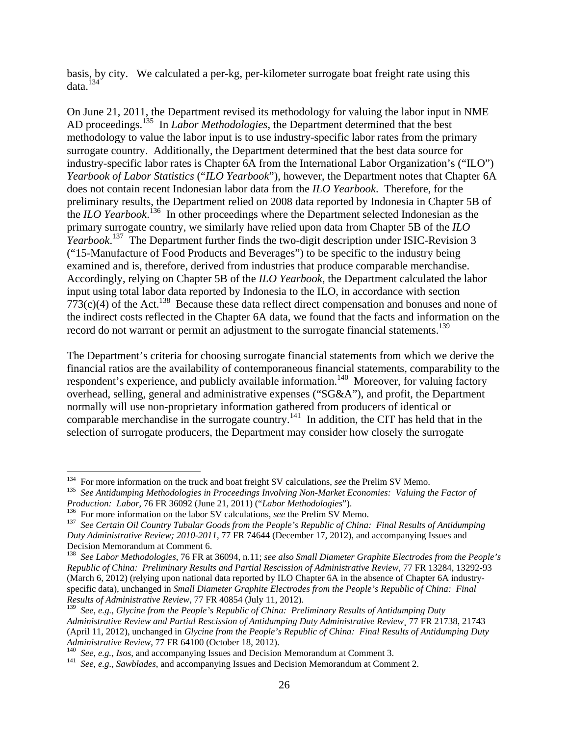basis, by city. We calculated a per-kg, per-kilometer surrogate boat freight rate using this data.134

On June 21, 2011, the Department revised its methodology for valuing the labor input in NME AD proceedings.135 In *Labor Methodologies*, the Department determined that the best methodology to value the labor input is to use industry-specific labor rates from the primary surrogate country. Additionally, the Department determined that the best data source for industry-specific labor rates is Chapter 6A from the International Labor Organization's ("ILO") *Yearbook of Labor Statistics* ("*ILO Yearbook*"), however, the Department notes that Chapter 6A does not contain recent Indonesian labor data from the *ILO Yearbook*. Therefore, for the preliminary results, the Department relied on 2008 data reported by Indonesia in Chapter 5B of the *ILO Yearbook*. 136 In other proceedings where the Department selected Indonesian as the primary surrogate country, we similarly have relied upon data from Chapter 5B of the *ILO Yearbook*. 137 The Department further finds the two-digit description under ISIC-Revision 3 ("15-Manufacture of Food Products and Beverages") to be specific to the industry being examined and is, therefore, derived from industries that produce comparable merchandise. Accordingly, relying on Chapter 5B of the *ILO Yearbook*, the Department calculated the labor input using total labor data reported by Indonesia to the ILO, in accordance with section  $773(c)(4)$  of the Act.<sup>138</sup> Because these data reflect direct compensation and bonuses and none of the indirect costs reflected in the Chapter 6A data, we found that the facts and information on the record do not warrant or permit an adjustment to the surrogate financial statements.<sup>139</sup>

The Department's criteria for choosing surrogate financial statements from which we derive the financial ratios are the availability of contemporaneous financial statements, comparability to the respondent's experience, and publicly available information.<sup>140</sup> Moreover, for valuing factory overhead, selling, general and administrative expenses ("SG&A"), and profit, the Department normally will use non-proprietary information gathered from producers of identical or comparable merchandise in the surrogate country.<sup>141</sup> In addition, the CIT has held that in the selection of surrogate producers, the Department may consider how closely the surrogate

<sup>&</sup>lt;sup>134</sup> For more information on the truck and boat freight SV calculations, see the Prelim SV Memo.

<sup>&</sup>lt;sup>135</sup> See Antidumping Methodologies in Proceedings Involving Non-Market Economies: Valuing the Factor of *Production: Labor*, 76 FR 36092 (June 21, 2011) ("*Labor Methodologies*").<br><sup>136</sup> For more information on the labor SV calculations, *see* the Prelim SV Memo.<br><sup>137</sup> See Certain Oil Country Tubular Goods from the People's R

*Duty Administrative Review; 2010-2011*, 77 FR 74644 (December 17, 2012), and accompanying Issues and Decision Memorandum at Comment 6.

<sup>138</sup> *See Labor Methodologies*, 76 FR at 36094, n.11; *see also Small Diameter Graphite Electrodes from the People's Republic of China: Preliminary Results and Partial Rescission of Administrative Review*, 77 FR 13284, 13292-93 (March 6, 2012) (relying upon national data reported by ILO Chapter 6A in the absence of Chapter 6A industryspecific data), unchanged in *Small Diameter Graphite Electrodes from the People's Republic of China: Final Results of Administrative Review*, 77 FR 40854 (July 11, 2012).

<sup>139</sup> *See*, *e.g.*, *Glycine from the People's Republic of China: Preliminary Results of Antidumping Duty Administrative Review and Partial Rescission of Antidumping Duty Administrative Review*¸ 77 FR 21738, 21743 (April 11, 2012), unchanged in *Glycine from the People's Republic of China: Final Results of Antidumping Duty* 

<sup>&</sup>lt;sup>140</sup> See, e.g., Isos, and accompanying Issues and Decision Memorandum at Comment 3.<br><sup>141</sup> See, e.g., Sawblades, and accompanying Issues and Decision Memorandum at Comment 2.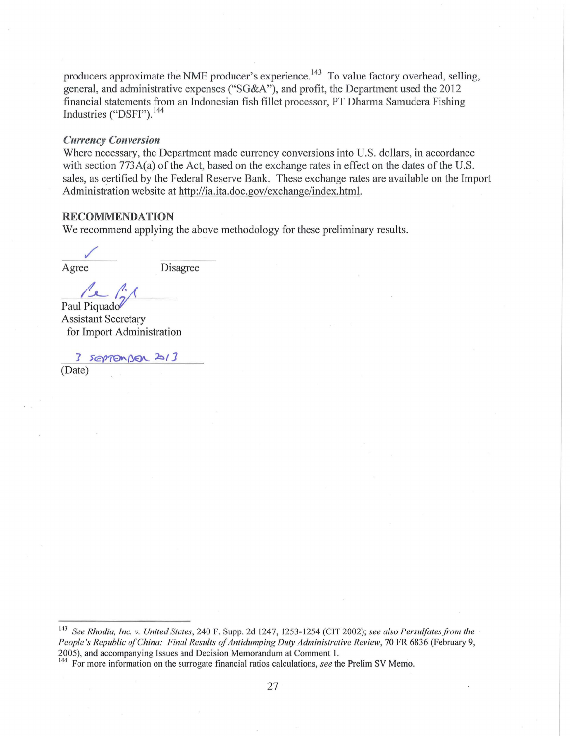producers approximate the NME producer's experience.<sup>143</sup> To value factory overhead, selling, general, and administrative expenses ("SG&A"), and profit, the Department used the 2012 financial statements from an Indonesian fish fillet processor, PT Dharma Samudera Fishing Industries ("DSFI"). 144

### *Currency Conversion*

Where necessary, the Department made currency conversions into U.S. dollars, in accordance with section  $773A(a)$  of the Act, based on the exchange rates in effect on the dates of the U.S. sales, as certified by the Federal Reserve Bank. These exchange rates are available on the Import Administration website at http://ia.ita.doc.gov/exchange/index.html.

#### **RECOMMENDATION**

We recommend applying the above methodology for these preliminary results.

/ Agree

Disagree

Paul Piquado

Assistant Secretary for Import Administration

SEPTEMBER 2013 (Date)

<sup>&</sup>lt;sup>143</sup> See Rhodia, Inc. v. United States, 240 F. Supp. 2d 1247, 1253-1254 (CIT 2002); see also Persulfates from the *People's Republic of China: Final Results of Antidumping Duty Administrative Review, 70 FR 6836 (February 9,* 2005), and accompanying Issues and Decision Memorandum at Comment I. 144 For more information on the surrogate financial ratios calculations, *see* the Prelim SV Memo.